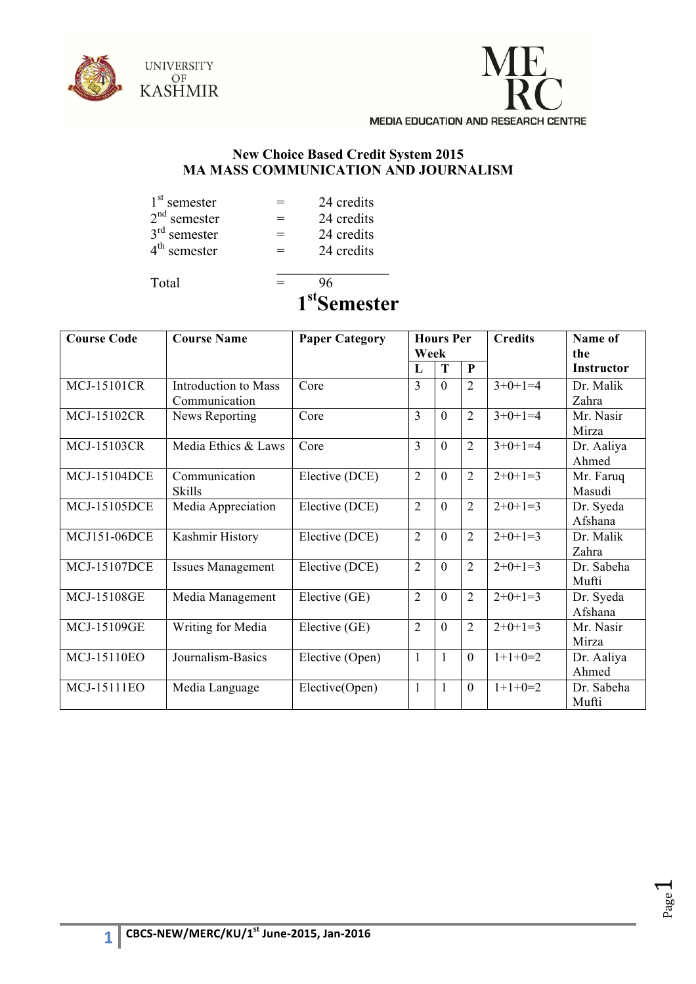



## **New Choice Based Credit System 2015 MA MASS COMMUNICATION AND JOURNALISM**

| 1 <sup>st</sup> semester | = | 24 credits |
|--------------------------|---|------------|
| $2nd$ semester           | = | 24 credits |
| $3rd$ semester           | = | 24 credits |
| $4th$ semester           | ═ | 24 credits |
|                          |   |            |

Total  $=$  96

**1stSemester**

| <b>Course Code</b>  | <b>Course Name</b>                           | <b>Paper Category</b> | <b>Hours Per</b><br>Week |          |                | <b>Credits</b> | Name of<br>the       |
|---------------------|----------------------------------------------|-----------------------|--------------------------|----------|----------------|----------------|----------------------|
|                     |                                              |                       | L                        | T        | $\mathbf{P}$   |                | <b>Instructor</b>    |
| <b>MCJ-15101CR</b>  | <b>Introduction to Mass</b><br>Communication | Core                  | 3                        | $\theta$ | $\overline{2}$ | $3+0+1=4$      | Dr. Malik<br>Zahra   |
| <b>MCJ-15102CR</b>  | News Reporting                               | Core                  | 3                        | $\Omega$ | $\overline{2}$ | $3+0+1=4$      | Mr. Nasir<br>Mirza   |
| <b>MCJ-15103CR</b>  | Media Ethics & Laws                          | Core                  | 3                        | $\Omega$ | $\overline{2}$ | $3+0+1=4$      | Dr. Aaliya<br>Ahmed  |
| <b>MCJ-15104DCE</b> | Communication<br>Skills                      | Elective (DCE)        | $\overline{2}$           | $\Omega$ | $\overline{2}$ | $2+0+1=3$      | Mr. Faruq<br>Masudi  |
| <b>MCJ-15105DCE</b> | Media Appreciation                           | Elective (DCE)        | $\overline{2}$           | $\Omega$ | $\overline{2}$ | $2+0+1=3$      | Dr. Syeda<br>Afshana |
| <b>MCJ151-06DCE</b> | Kashmir History                              | Elective (DCE)        | $\overline{2}$           | $\Omega$ | $\overline{2}$ | $2+0+1=3$      | Dr Malik<br>Zahra    |
| <b>MCJ-15107DCE</b> | <b>Issues Management</b>                     | Elective (DCE)        | $\overline{2}$           | $\Omega$ | $\overline{2}$ | $2+0+1=3$      | Dr. Sabeha<br>Mufti  |
| <b>MCJ-15108GE</b>  | Media Management                             | Elective (GE)         | $\overline{2}$           | $\Omega$ | $\overline{2}$ | $2+0+1=3$      | Dr. Syeda<br>Afshana |
| <b>MCJ-15109GE</b>  | Writing for Media                            | Elective (GE)         | $\overline{2}$           | $\Omega$ | $\overline{2}$ | $2+0+1=3$      | Mr. Nasir<br>Mirza   |
| MCJ-15110EO         | Journalism-Basics                            | Elective (Open)       | $\mathbf{1}$             |          | $\mathbf{0}$   | $1+1+0=2$      | Dr. Aaliya<br>Ahmed  |
| <b>MCJ-15111EO</b>  | Media Language                               | Elective(Open)        | $\mathbf{1}$             |          | $\mathbf{0}$   | $1+1+0=2$      | Dr. Sabeha<br>Mufti  |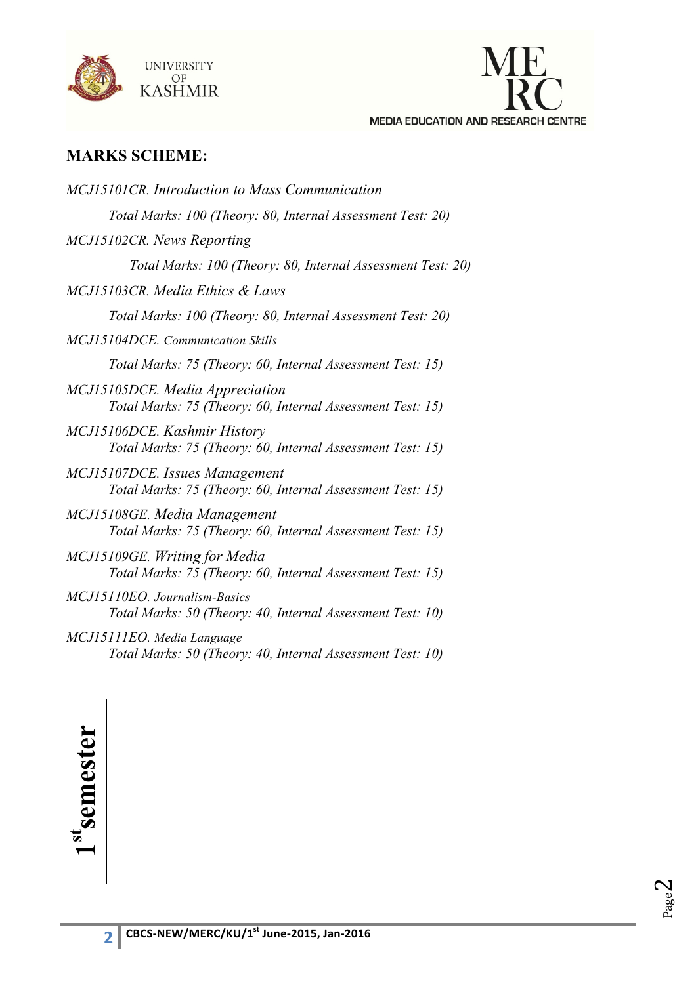



## **MARKS SCHEME:**

| <b>MCJ15101CR.</b> Introduction to Mass Communication                                         |
|-----------------------------------------------------------------------------------------------|
| Total Marks: 100 (Theory: 80, Internal Assessment Test: 20)                                   |
| MCJ15102CR. News Reporting                                                                    |
| Total Marks: 100 (Theory: 80, Internal Assessment Test: 20)                                   |
| MCJ15103CR. Media Ethics & Laws                                                               |
| Total Marks: 100 (Theory: 80, Internal Assessment Test: 20)                                   |
| MCJ15104DCE. Communication Skills                                                             |
| Total Marks: 75 (Theory: 60, Internal Assessment Test: 15)                                    |
| MCJ15105DCE. Media Appreciation<br>Total Marks: 75 (Theory: 60, Internal Assessment Test: 15) |
| MCJ15106DCE. Kashmir History<br>Total Marks: 75 (Theory: 60, Internal Assessment Test: 15)    |
| MCJ15107DCE. Issues Management<br>Total Marks: 75 (Theory: 60, Internal Assessment Test: 15)  |
| MCJ15108GE. Media Management<br>Total Marks: 75 (Theory: 60, Internal Assessment Test: 15)    |
| MCJ15109GE. Writing for Media<br>Total Marks: 75 (Theory: 60, Internal Assessment Test: 15)   |
| MCJ15110EO. Journalism-Basics<br>Total Marks: 50 (Theory: 40, Internal Assessment Test: 10)   |
| MCJ15111EO. Media Language<br>Total Marks: 50 (Theory: 40, Internal Assessment Test: 10)      |

1st semester **1stsemester**

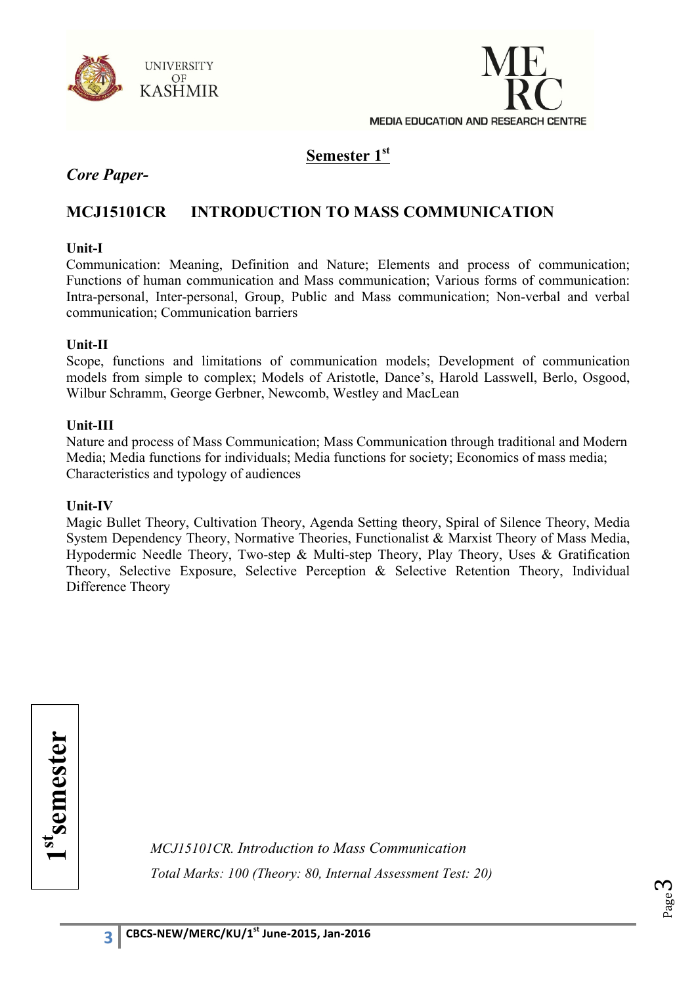



## **Semester 1st**

## *Core Paper-*

## **MCJ15101CR INTRODUCTION TO MASS COMMUNICATION**

#### **Unit-I**

Communication: Meaning, Definition and Nature; Elements and process of communication; Functions of human communication and Mass communication; Various forms of communication: Intra-personal, Inter-personal, Group, Public and Mass communication; Non-verbal and verbal communication; Communication barriers

#### **Unit-II**

Scope, functions and limitations of communication models; Development of communication models from simple to complex; Models of Aristotle, Dance's, Harold Lasswell, Berlo, Osgood, Wilbur Schramm, George Gerbner, Newcomb, Westley and MacLean

#### **Unit-III**

Nature and process of Mass Communication; Mass Communication through traditional and Modern Media; Media functions for individuals; Media functions for society; Economics of mass media; Characteristics and typology of audiences

#### **Unit-IV**

Magic Bullet Theory, Cultivation Theory, Agenda Setting theory, Spiral of Silence Theory, Media System Dependency Theory, Normative Theories, Functionalist & Marxist Theory of Mass Media, Hypodermic Needle Theory, Two-step & Multi-step Theory, Play Theory, Uses & Gratification Theory, Selective Exposure, Selective Perception & Selective Retention Theory, Individual Difference Theory

1stemester **1stsemester**

*MCJ15101CR. Introduction to Mass Communication Total Marks: 100 (Theory: 80, Internal Assessment Test: 20)*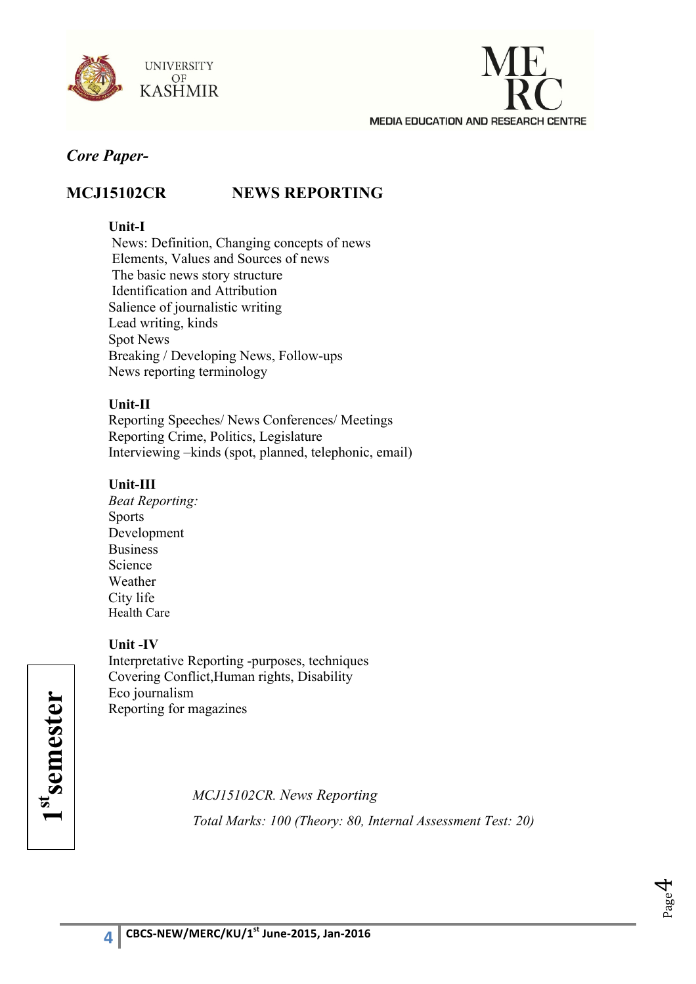



## **MCJ15102CR NEWS REPORTING**

## **Unit-I**

News: Definition, Changing concepts of news Elements, Values and Sources of news The basic news story structure Identification and Attribution Salience of journalistic writing Lead writing, kinds Spot News Breaking / Developing News, Follow-ups News reporting terminology

## **Unit-II**

Reporting Speeches/ News Conferences/ Meetings Reporting Crime, Politics, Legislature Interviewing –kinds (spot, planned, telephonic, email)

## **Unit-III**

*Beat Reporting:* Sports Development **Business** Science Weather City life Health Care

## **Unit -IV**

Interpretative Reporting -purposes, techniques Covering Conflict,Human rights, Disability Eco journalism Reporting for magazines

**1stsemester**

*MCJ15102CR. News Reporting Total Marks: 100 (Theory: 80, Internal Assessment Test: 20)* 

Page 4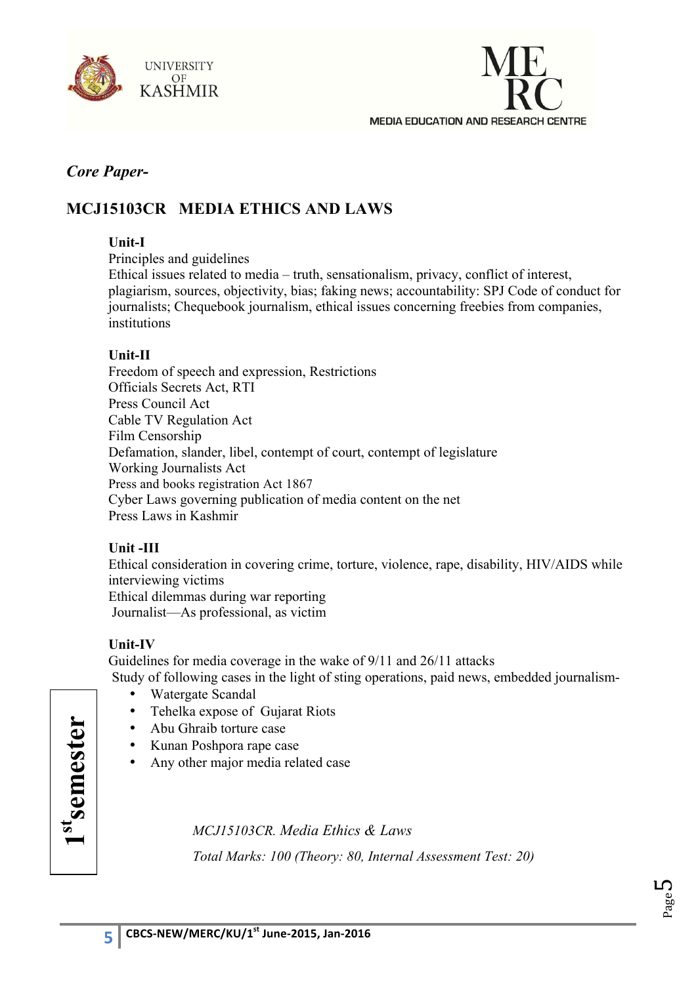



## **MCJ15103CR MEDIA ETHICS AND LAWS**

### **Unit-I**

Principles and guidelines

Ethical issues related to media – truth, sensationalism, privacy, conflict of interest, plagiarism, sources, objectivity, bias; faking news; accountability: SPJ Code of conduct for journalists; Chequebook journalism, ethical issues concerning freebies from companies, institutions

#### **Unit-II**

Freedom of speech and expression, Restrictions Officials Secrets Act, RTI Press Council Act Cable TV Regulation Act Film Censorship Defamation, slander, libel, contempt of court, contempt of legislature Working Journalists Act Press and books registration Act 1867 Cyber Laws governing publication of media content on the net Press Laws in Kashmir

## **Unit -III**

Ethical consideration in covering crime, torture, violence, rape, disability, HIV/AIDS while interviewing victims Ethical dilemmas during war reporting Journalist—As professional, as victim

## **Unit-IV**

Guidelines for media coverage in the wake of 9/11 and 26/11 attacks Study of following cases in the light of sting operations, paid news, embedded journalism-

- Watergate Scandal
- Tehelka expose of Gujarat Riots
- Abu Ghraib torture case
- Kunan Poshpora rape case
- Any other major media related case

st<br>semester **1stsemester**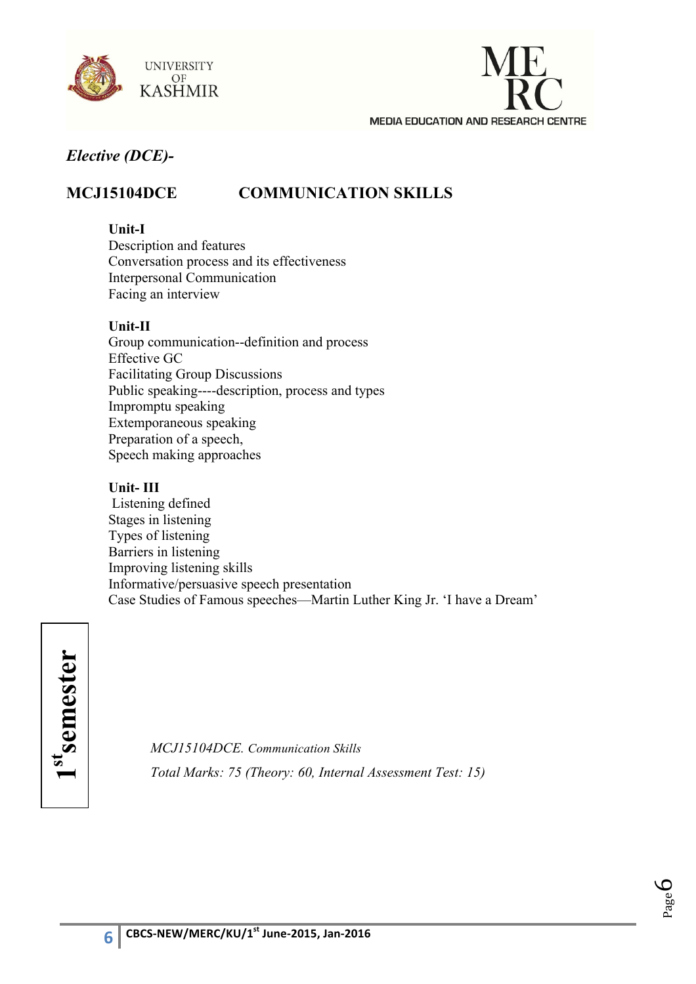



## **MCJ15104DCE COMMUNICATION SKILLS**

#### **Unit-I**

Description and features Conversation process and its effectiveness Interpersonal Communication Facing an interview

#### **Unit-II**

Group communication--definition and process Effective GC Facilitating Group Discussions Public speaking----description, process and types Impromptu speaking Extemporaneous speaking Preparation of a speech, Speech making approaches

### **Unit- III**

Listening defined Stages in listening Types of listening Barriers in listening Improving listening skills Informative/persuasive speech presentation Case Studies of Famous speeches—Martin Luther King Jr. 'I have a Dream'



*MCJ15104DCE. Communication Skills Total Marks: 75 (Theory: 60, Internal Assessment Test: 15)*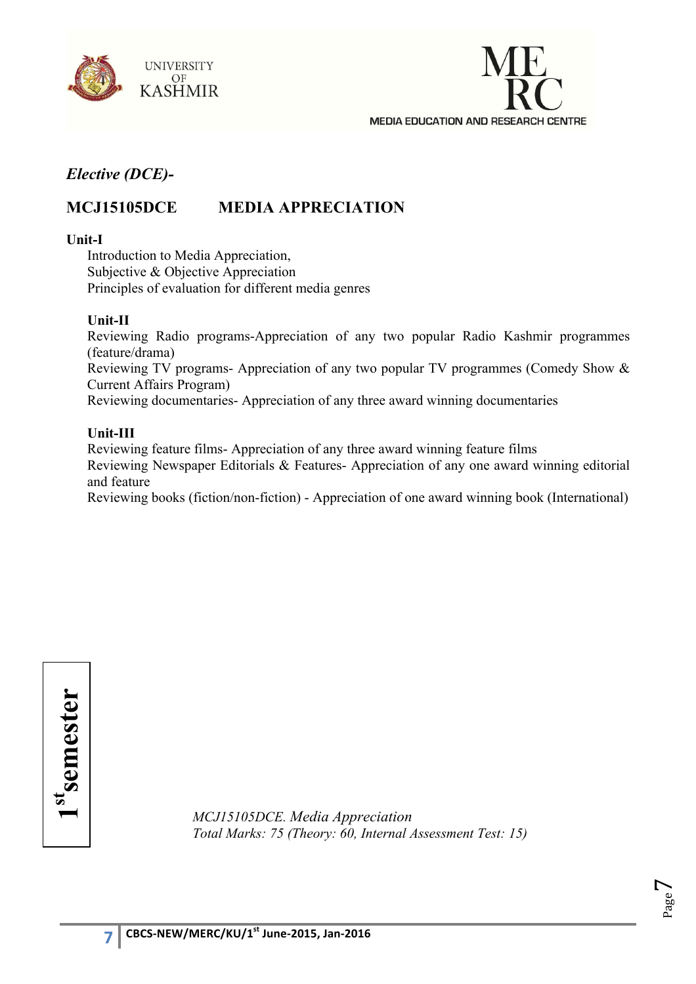



## **MCJ15105DCE MEDIA APPRECIATION**

#### **Unit-I**

Introduction to Media Appreciation, Subjective & Objective Appreciation Principles of evaluation for different media genres

#### **Unit-II**

Reviewing Radio programs-Appreciation of any two popular Radio Kashmir programmes (feature/drama) Reviewing TV programs- Appreciation of any two popular TV programmes (Comedy Show & Current Affairs Program) Reviewing documentaries- Appreciation of any three award winning documentaries

#### **Unit-III**

Reviewing feature films- Appreciation of any three award winning feature films Reviewing Newspaper Editorials & Features- Appreciation of any one award winning editorial and feature Reviewing books (fiction/non-fiction) - Appreciation of one award winning book (International)

1st semester **1stsemester**

*MCJ15105DCE. Media Appreciation Total Marks: 75 (Theory: 60, Internal Assessment Test: 15)*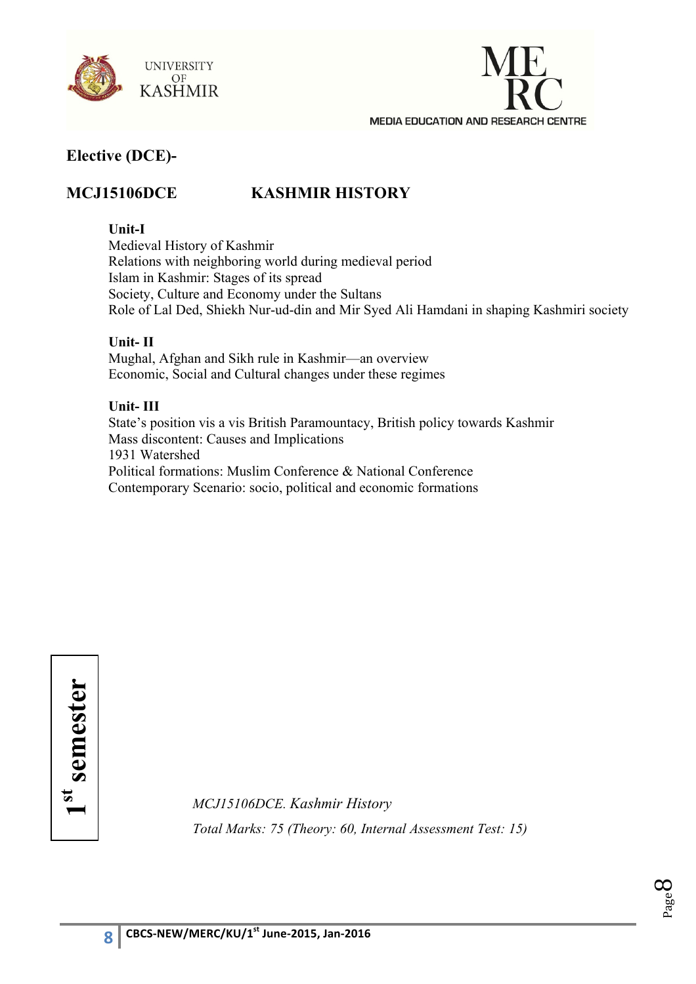



## **MCJ15106DCE KASHMIR HISTORY**

### **Unit-I**

Medieval History of Kashmir Relations with neighboring world during medieval period Islam in Kashmir: Stages of its spread Society, Culture and Economy under the Sultans Role of Lal Ded, Shiekh Nur-ud-din and Mir Syed Ali Hamdani in shaping Kashmiri society

## **Unit- II**

Mughal, Afghan and Sikh rule in Kashmir—an overview Economic, Social and Cultural changes under these regimes

## **Unit- III**

State's position vis a vis British Paramountacy, British policy towards Kashmir Mass discontent: Causes and Implications 1931 Watershed Political formations: Muslim Conference & National Conference Contemporary Scenario: socio, political and economic formations

1st semester **1st semester**

*MCJ15106DCE. Kashmir History Total Marks: 75 (Theory: 60, Internal Assessment Test: 15)*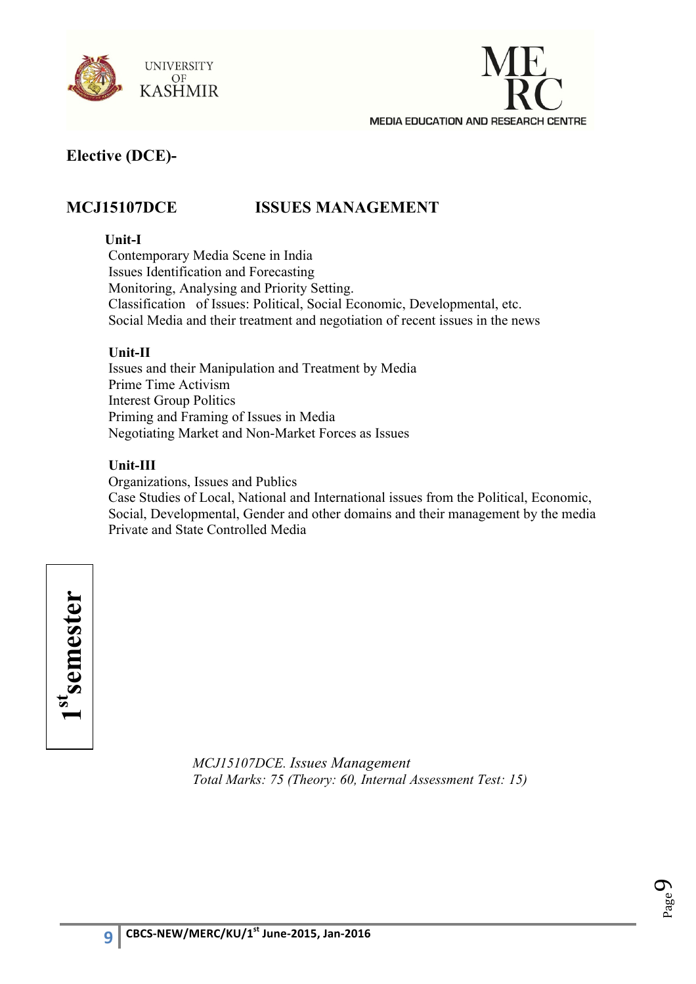



## **MCJ15107DCE ISSUES MANAGEMENT**

#### **Unit-I**

Contemporary Media Scene in India Issues Identification and Forecasting Monitoring, Analysing and Priority Setting. Classification of Issues: Political, Social Economic, Developmental, etc. Social Media and their treatment and negotiation of recent issues in the news

#### **Unit-II**

Issues and their Manipulation and Treatment by Media Prime Time Activism Interest Group Politics Priming and Framing of Issues in Media Negotiating Market and Non-Market Forces as Issues

#### **Unit-III**

Organizations, Issues and Publics Case Studies of Local, National and International issues from the Political, Economic, Social, Developmental, Gender and other domains and their management by the media Private and State Controlled Media

1st<sub>semester</sub> **1stsemester**

> *MCJ15107DCE. Issues Management Total Marks: 75 (Theory: 60, Internal Assessment Test: 15)*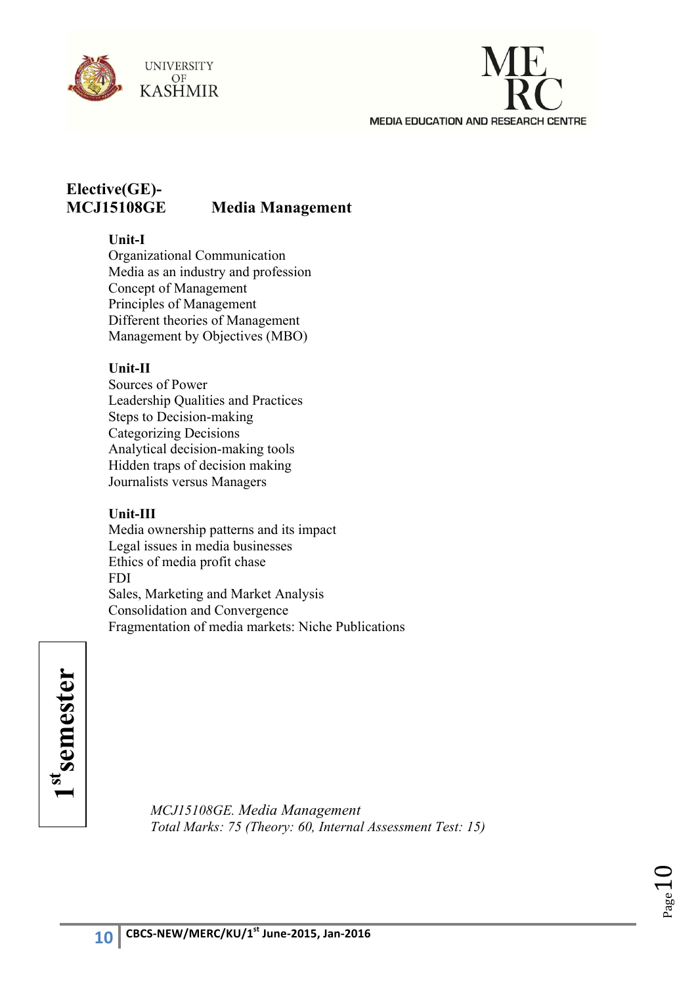



## **Elective(GE)- MCJ15108GE Media Management**

## **Unit-I**

Organizational Communication Media as an industry and profession Concept of Management Principles of Management Different theories of Management Management by Objectives (MBO)

## **Unit-II**

Sources of Power Leadership Qualities and Practices Steps to Decision-making Categorizing Decisions Analytical decision-making tools Hidden traps of decision making Journalists versus Managers

## **Unit-III**

Media ownership patterns and its impact Legal issues in media businesses Ethics of media profit chase FDI Sales, Marketing and Market Analysis Consolidation and Convergence Fragmentation of media markets: Niche Publications

1st<sub>semester</sub> **1stsemester**

*MCJ15108GE. Media Management Total Marks: 75 (Theory: 60, Internal Assessment Test: 15)* 

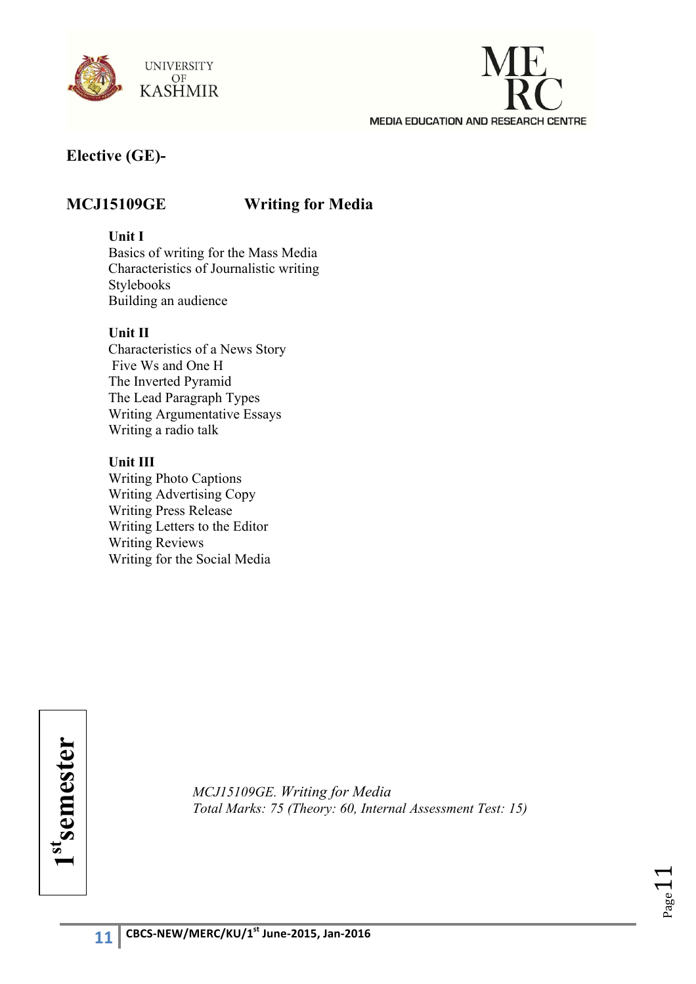



## **Elective (GE)-**

## **MCJ15109GE Writing for Media**

### **Unit I**

Basics of writing for the Mass Media Characteristics of Journalistic writing Stylebooks Building an audience

## **Unit II**

Characteristics of a News Story Five Ws and One H The Inverted Pyramid The Lead Paragraph Types Writing Argumentative Essays Writing a radio talk

#### **Unit III**

Writing Photo Captions Writing Advertising Copy Writing Press Release Writing Letters to the Editor Writing Reviews Writing for the Social Media

1st<sub>semester</sub> **1stsemester**

*MCJ15109GE. Writing for Media Total Marks: 75 (Theory: 60, Internal Assessment Test: 15)*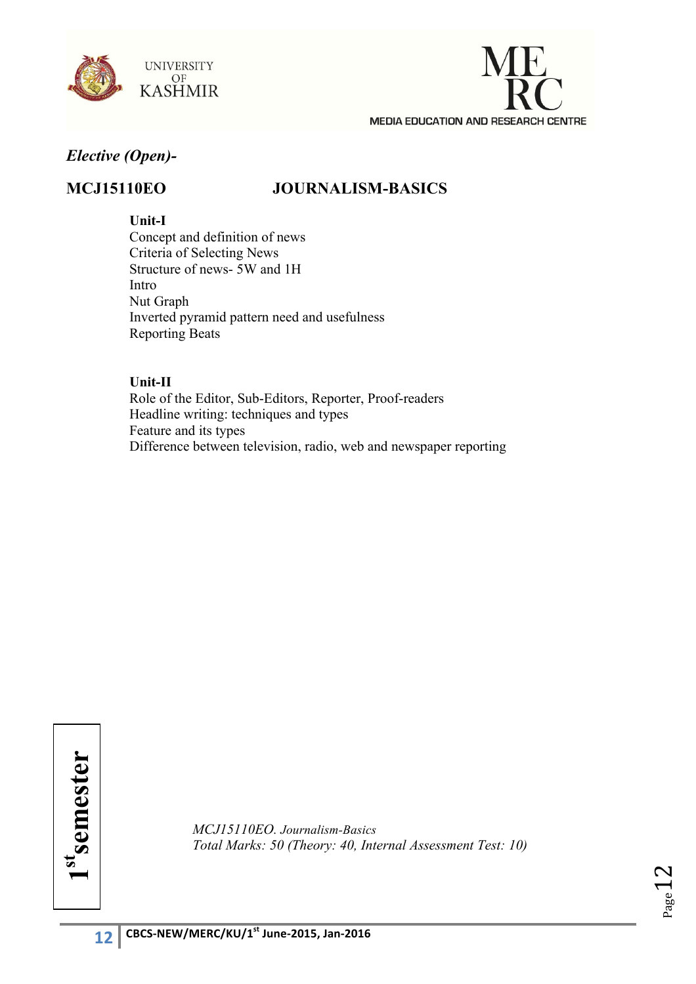



## *Elective (Open)-*

## **MCJ15110EO JOURNALISM-BASICS**

### **Unit-I**

Concept and definition of news Criteria of Selecting News Structure of news- 5W and 1H Intro Nut Graph Inverted pyramid pattern need and usefulness Reporting Beats

#### **Unit-II**

Role of the Editor, Sub-Editors, Reporter, Proof-readers Headline writing: techniques and types Feature and its types Difference between television, radio, web and newspaper reporting

1st<sub>semester</sub> **1stsemester**

*MCJ15110EO. Journalism-Basics Total Marks: 50 (Theory: 40, Internal Assessment Test: 10)*

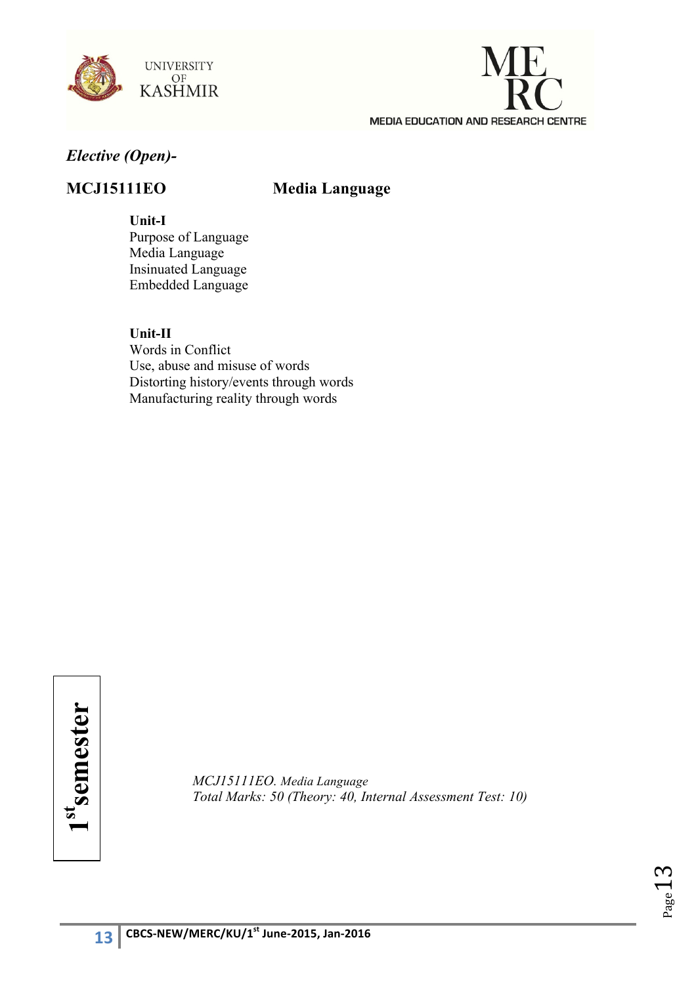



## *Elective (Open)-*

## **MCJ15111EO Media Language**

#### **Unit-I**

Purpose of Language Media Language Insinuated Language Embedded Language

**Unit-II** Words in Conflict Use, abuse and misuse of words Distorting history/events through words Manufacturing reality through words

*MCJ15111EO. Media Language Total Marks: 50 (Theory: 40, Internal Assessment Test: 10)*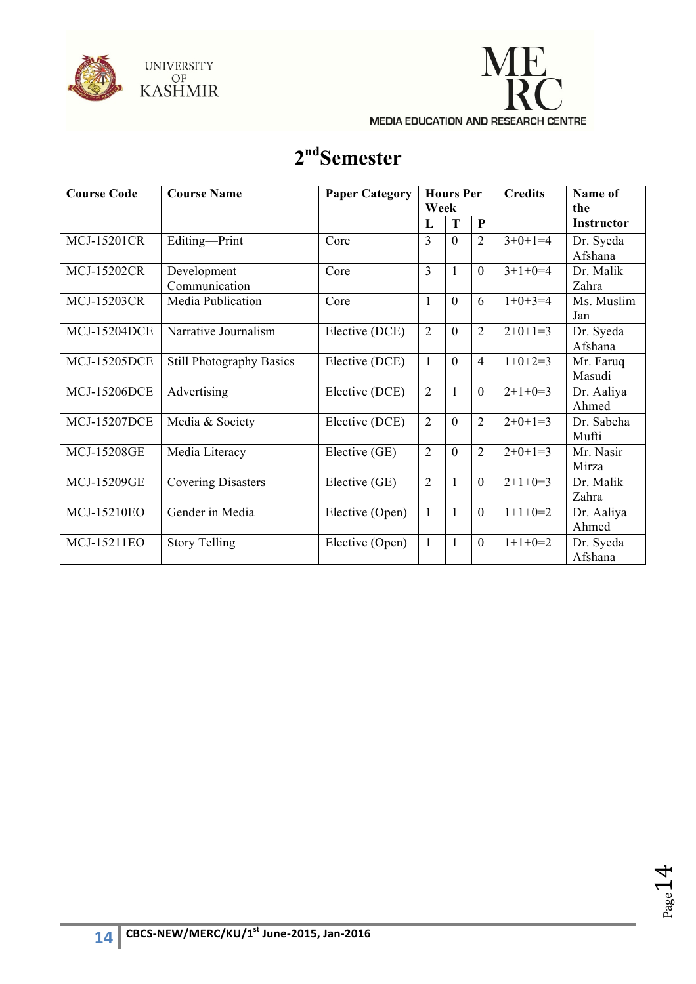



# **2ndSemester**

| <b>Course Code</b>  | <b>Course Name</b>              | <b>Paper Category</b> | <b>Hours Per</b><br>Week |                |                | <b>Credits</b> | Name of<br>the       |
|---------------------|---------------------------------|-----------------------|--------------------------|----------------|----------------|----------------|----------------------|
|                     |                                 |                       | L                        | T              | $\mathbf{P}$   |                | <b>Instructor</b>    |
| <b>MCJ-15201CR</b>  | Editing-Print                   | Core                  | 3                        | $\theta$       | $\overline{2}$ | $3+0+1=4$      | Dr. Syeda<br>Afshana |
| <b>MCJ-15202CR</b>  | Development<br>Communication    | Core                  | 3                        | 1              | $\mathbf{0}$   | $3+1+0=4$      | Dr. Malik<br>Zahra   |
| <b>MCJ-15203CR</b>  | Media Publication               | Core                  | $\mathbf{1}$             | $\theta$       | 6              | $1+0+3=4$      | Ms. Muslim<br>Jan    |
| <b>MCJ-15204DCE</b> | Narrative Journalism            | Elective (DCE)        | $\overline{2}$           | $\overline{0}$ | $\overline{2}$ | $2+0+1=3$      | Dr. Syeda<br>Afshana |
| <b>MCJ-15205DCE</b> | <b>Still Photography Basics</b> | Elective (DCE)        | $\mathbf{1}$             | $\mathbf{0}$   | $\overline{4}$ | $1+0+2=3$      | Mr. Faruq<br>Masudi  |
| <b>MCJ-15206DCE</b> | Advertising                     | Elective (DCE)        | $\overline{2}$           | $\mathbf{1}$   | $\overline{0}$ | $2+1+0=3$      | Dr. Aaliya<br>Ahmed  |
| <b>MCJ-15207DCE</b> | Media & Society                 | Elective (DCE)        | $\overline{2}$           | $\overline{0}$ | $\overline{2}$ | $2+0+1=3$      | Dr. Sabeha<br>Mufti  |
| <b>MCJ-15208GE</b>  | Media Literacy                  | Elective (GE)         | $\overline{2}$           | $\overline{0}$ | $\overline{2}$ | $2+0+1=3$      | Mr. Nasir<br>Mirza   |
| <b>MCJ-15209GE</b>  | <b>Covering Disasters</b>       | Elective (GE)         | $\overline{2}$           | 1              | $\mathbf{0}$   | $2+1+0=3$      | Dr. Malik<br>Zahra   |
| MCJ-15210EO         | Gender in Media                 | Elective (Open)       | $\mathbf{1}$             | $\mathbf{1}$   | $\mathbf{0}$   | $1+1+0=2$      | Dr. Aaliya<br>Ahmed  |
| MCJ-15211EO         | <b>Story Telling</b>            | Elective (Open)       | $\mathbf{1}$             | $\mathbf{1}$   | $\mathbf{0}$   | $1+1+0=2$      | Dr. Syeda<br>Afshana |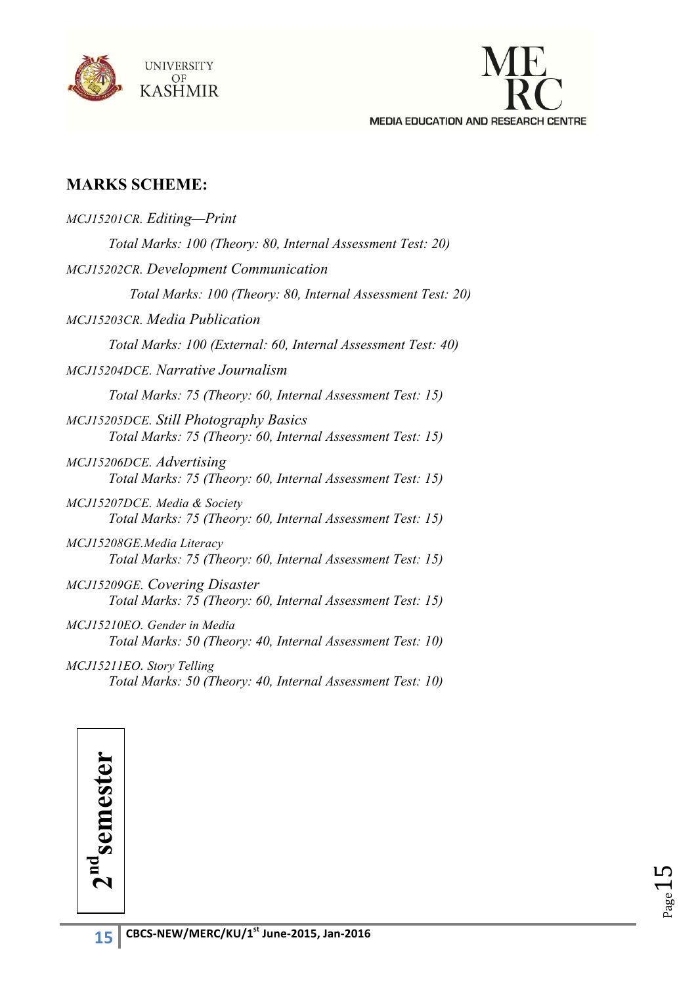



## **MARKS SCHEME:**

| MCJ15201CR. Editing-Print                                                                                  |
|------------------------------------------------------------------------------------------------------------|
| Total Marks: 100 (Theory: 80, Internal Assessment Test: 20)                                                |
| MCJ15202CR. Development Communication                                                                      |
| Total Marks: 100 (Theory: 80, Internal Assessment Test: 20)                                                |
| MCJ15203CR. Media Publication                                                                              |
| Total Marks: 100 (External: 60, Internal Assessment Test: 40)                                              |
| MCJ15204DCE, Narrative Journalism                                                                          |
| Total Marks: 75 (Theory: 60, Internal Assessment Test: 15)                                                 |
| <b>MCJ15205DCE.</b> Still Photography Basics<br>Total Marks: 75 (Theory: 60, Internal Assessment Test: 15) |
| MCJ15206DCE. Advertising<br>Total Marks: 75 (Theory: 60, Internal Assessment Test: 15)                     |
| MCJ15207DCE. Media & Society<br>Total Marks: 75 (Theory: 60, Internal Assessment Test: 15)                 |
| MCJ15208GE.Media Literacy<br>Total Marks: 75 (Theory: 60, Internal Assessment Test: 15)                    |
| MCJ15209GE. Covering Disaster<br>Total Marks: 75 (Theory: 60, Internal Assessment Test: 15)                |
| MCJ15210EO. Gender in Media<br>Total Marks: 50 (Theory: 40, Internal Assessment Test: 10)                  |
| MCJ15211EO. Story Telling<br>Total Marks: 50 (Theory: 40, Internal Assessment Test: 10)                    |

 $2<sup>nd</sup>$ semester **2ndsemester**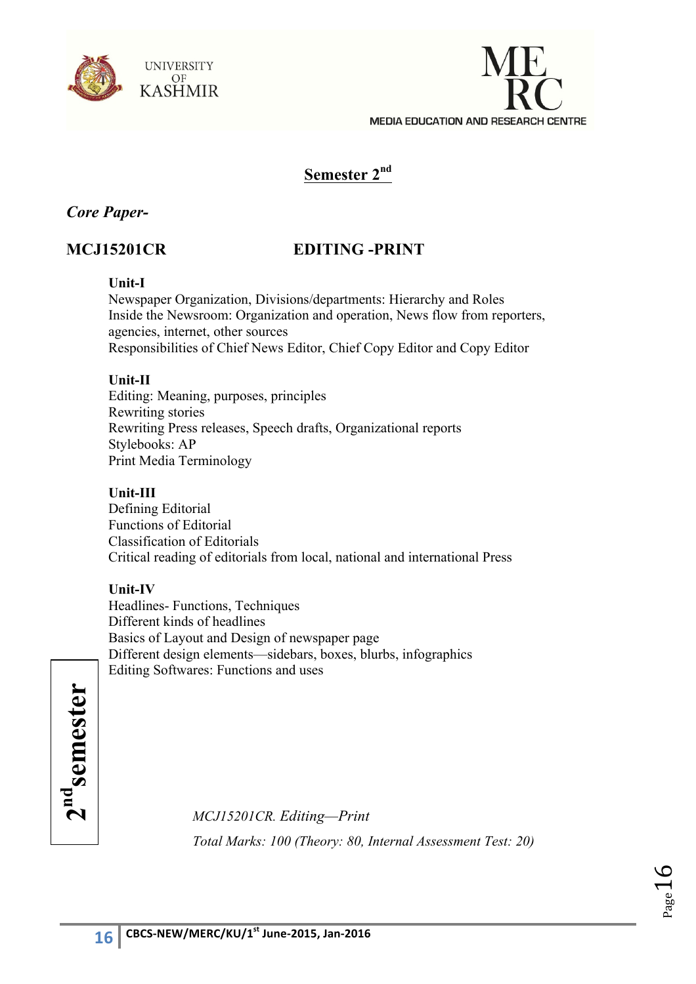



## **Semester 2nd**

## *Core Paper-*

## **MCJ15201CR EDITING -PRINT**

#### **Unit-I**

Newspaper Organization, Divisions/departments: Hierarchy and Roles Inside the Newsroom: Organization and operation, News flow from reporters, agencies, internet, other sources Responsibilities of Chief News Editor, Chief Copy Editor and Copy Editor

#### **Unit-II**

Editing: Meaning, purposes, principles Rewriting stories Rewriting Press releases, Speech drafts, Organizational reports Stylebooks: AP Print Media Terminology

### **Unit-III**

Defining Editorial Functions of Editorial Classification of Editorials Critical reading of editorials from local, national and international Press

## **Unit-IV**

Headlines- Functions, Techniques Different kinds of headlines Basics of Layout and Design of newspaper page Different design elements—sidebars, boxes, blurbs, infographics Editing Softwares: Functions and uses

2<sup>nd</sup>semester **2ndsemester**

*MCJ15201CR. Editing—Print Total Marks: 100 (Theory: 80, Internal Assessment Test: 20)*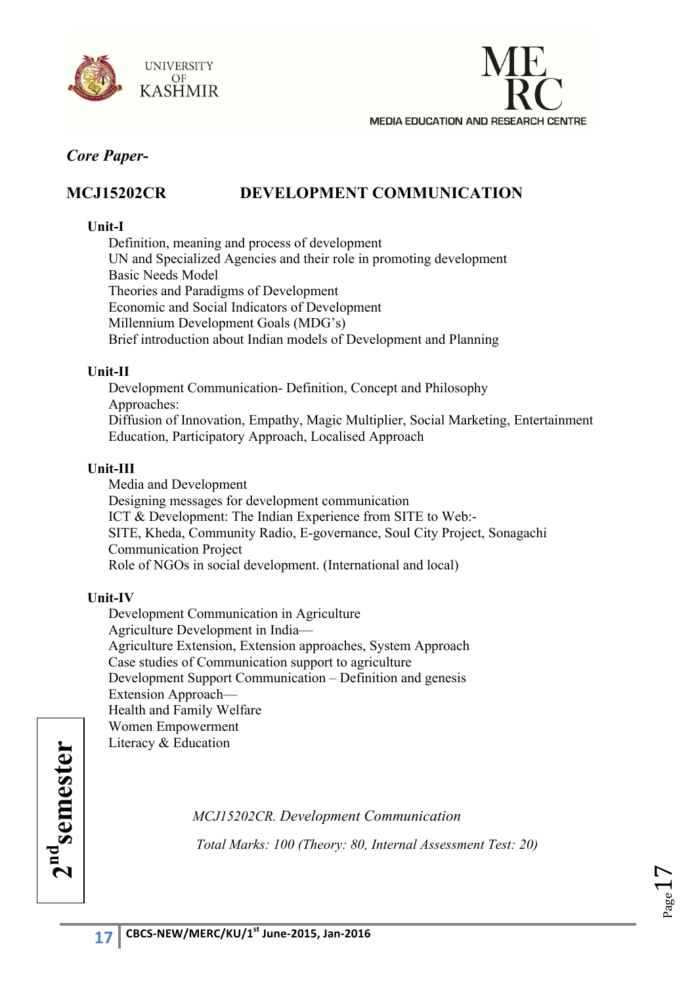



## **MCJ15202CR DEVELOPMENT COMMUNICATION**

### **Unit-I**

Definition, meaning and process of development UN and Specialized Agencies and their role in promoting development Basic Needs Model Theories and Paradigms of Development Economic and Social Indicators of Development Millennium Development Goals (MDG's) Brief introduction about Indian models of Development and Planning

#### **Unit-II**

Development Communication- Definition, Concept and Philosophy Approaches: Diffusion of Innovation, Empathy, Magic Multiplier, Social Marketing, Entertainment Education, Participatory Approach, Localised Approach

## **Unit-III**

Media and Development Designing messages for development communication ICT & Development: The Indian Experience from SITE to Web:- SITE, Kheda, Community Radio, E-governance, Soul City Project, Sonagachi Communication Project Role of NGOs in social development. (International and local)

## **Unit-IV**

Development Communication in Agriculture Agriculture Development in India— Agriculture Extension, Extension approaches, System Approach Case studies of Communication support to agriculture Development Support Communication – Definition and genesis Extension Approach— Health and Family Welfare Women Empowerment Literacy & Education

> *MCJ15202CR. Development Communication Total Marks: 100 (Theory: 80, Internal Assessment Test: 20)*

 $2<sup>nd</sup>$ semester **2ndsemester**

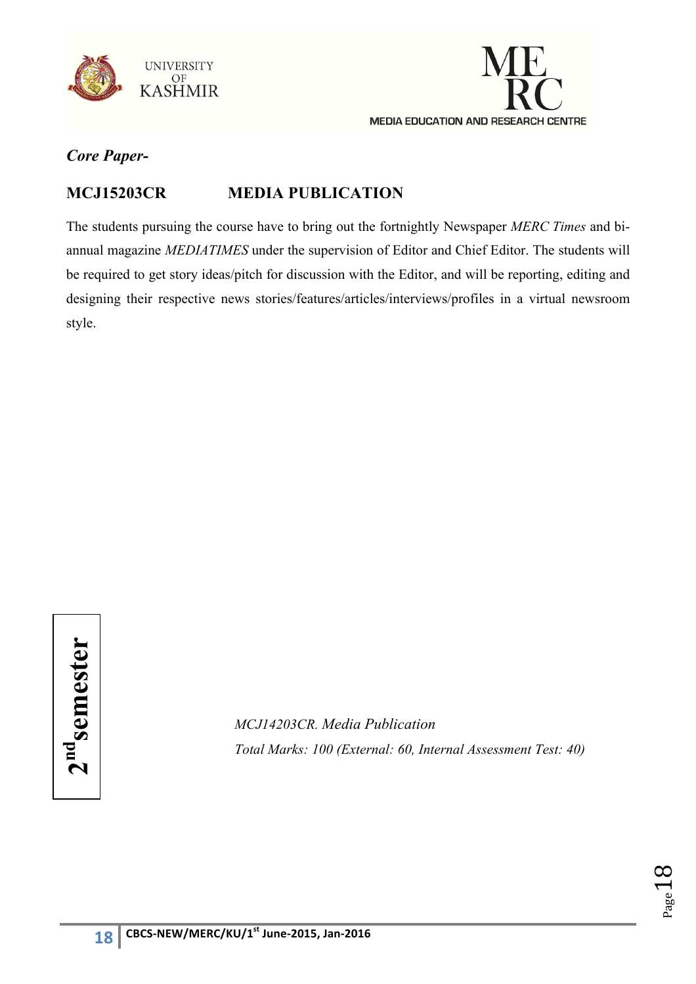



## **MCJ15203CR MEDIA PUBLICATION**

The students pursuing the course have to bring out the fortnightly Newspaper *MERC Times* and biannual magazine *MEDIATIMES* under the supervision of Editor and Chief Editor. The students will be required to get story ideas/pitch for discussion with the Editor, and will be reporting, editing and designing their respective news stories/features/articles/interviews/profiles in a virtual newsroom style.

 $2<sup>nd</sup>$ semester **2ndsemester**

*MCJ14203CR. Media Publication Total Marks: 100 (External: 60, Internal Assessment Test: 40)* 

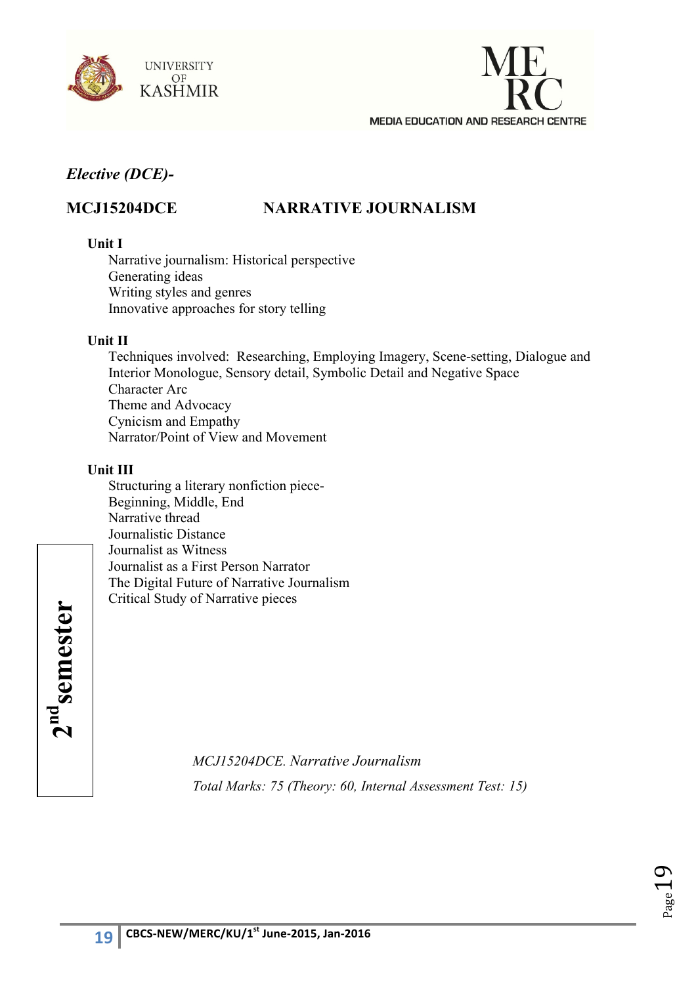



## **MCJ15204DCE NARRATIVE JOURNALISM**

#### **Unit I**

Narrative journalism: Historical perspective Generating ideas Writing styles and genres Innovative approaches for story telling

## **Unit II**

Techniques involved: Researching, Employing Imagery, Scene-setting, Dialogue and Interior Monologue, Sensory detail, Symbolic Detail and Negative Space Character Arc Theme and Advocacy Cynicism and Empathy Narrator/Point of View and Movement

## **Unit III**

Structuring a literary nonfiction piece-Beginning, Middle, End Narrative thread Journalistic Distance Journalist as Witness Journalist as a First Person Narrator The Digital Future of Narrative Journalism Critical Study of Narrative pieces

 $2<sup>nd</sup>$ semester **2ndsemester**

*MCJ15204DCE. Narrative Journalism Total Marks: 75 (Theory: 60, Internal Assessment Test: 15)*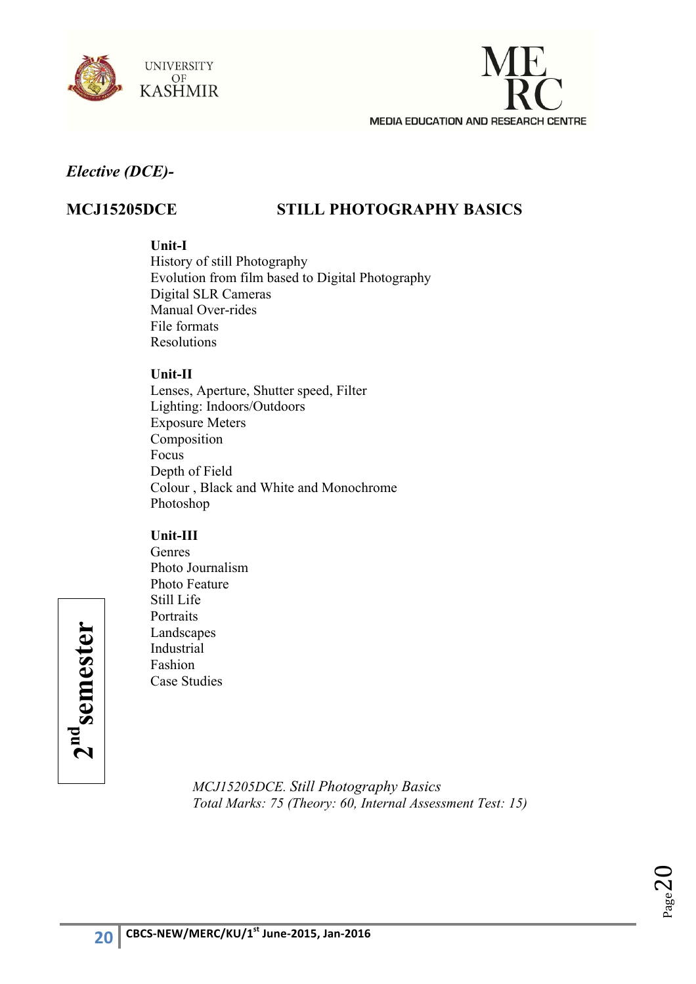



## **MCJ15205DCE STILL PHOTOGRAPHY BASICS**

#### **Unit-I**

History of still Photography Evolution from film based to Digital Photography Digital SLR Cameras Manual Over-rides File formats Resolutions

#### **Unit-II**

Lenses, Aperture, Shutter speed, Filter Lighting: Indoors/Outdoors Exposure Meters Composition Focus Depth of Field Colour , Black and White and Monochrome Photoshop

## **Unit-III**

Genres Photo Journalism Photo Feature Still Life **Portraits** Landscapes Industrial Fashion Case Studies

 $2<sup>nd</sup>$ semester **2ndsemester**

> *MCJ15205DCE. Still Photography Basics Total Marks: 75 (Theory: 60, Internal Assessment Test: 15)*

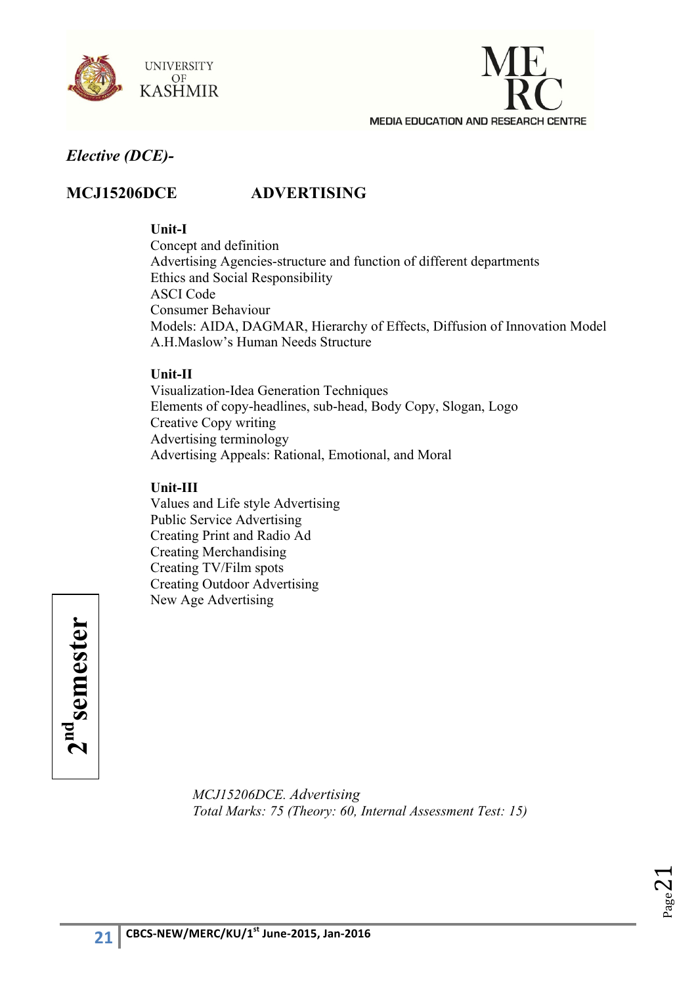



## **MCJ15206DCE ADVERTISING**

#### **Unit-I**

Concept and definition Advertising Agencies-structure and function of different departments Ethics and Social Responsibility ASCI Code Consumer Behaviour Models: AIDA, DAGMAR, Hierarchy of Effects, Diffusion of Innovation Model A.H.Maslow's Human Needs Structure

#### **Unit-II**

Visualization-Idea Generation Techniques Elements of copy-headlines, sub-head, Body Copy, Slogan, Logo Creative Copy writing Advertising terminology Advertising Appeals: Rational, Emotional, and Moral

#### **Unit-III**

Values and Life style Advertising Public Service Advertising Creating Print and Radio Ad Creating Merchandising Creating TV/Film spots Creating Outdoor Advertising New Age Advertising



*MCJ15206DCE. Advertising Total Marks: 75 (Theory: 60, Internal Assessment Test: 15)* 

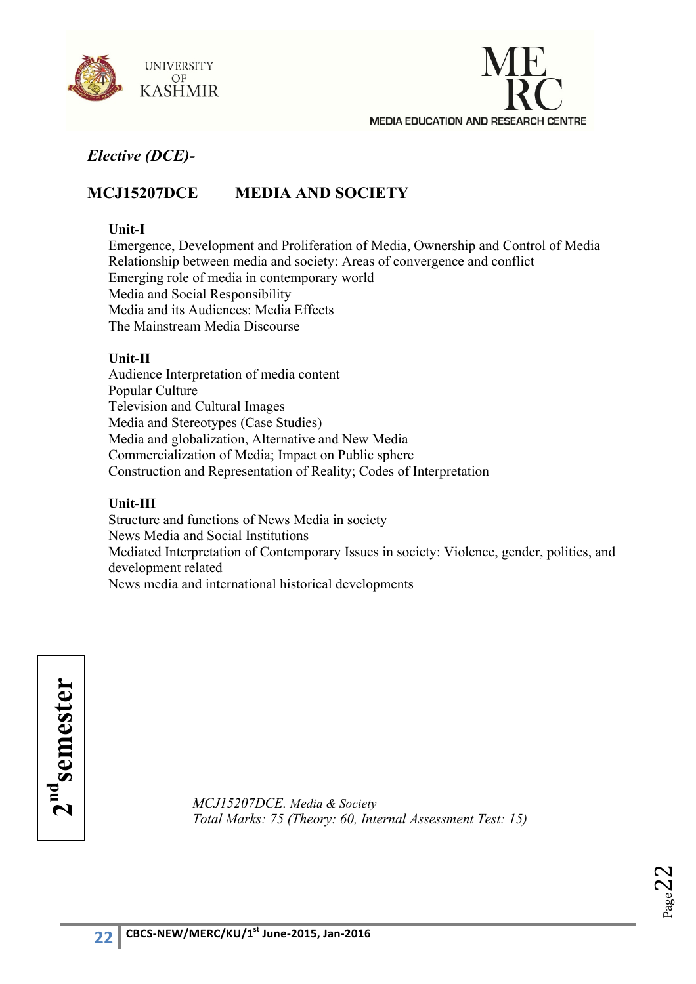



## **MCJ15207DCE MEDIA AND SOCIETY**

#### **Unit-I**

Emergence, Development and Proliferation of Media, Ownership and Control of Media Relationship between media and society: Areas of convergence and conflict Emerging role of media in contemporary world Media and Social Responsibility Media and its Audiences: Media Effects The Mainstream Media Discourse

#### **Unit-II**

Audience Interpretation of media content Popular Culture Television and Cultural Images Media and Stereotypes (Case Studies) Media and globalization, Alternative and New Media Commercialization of Media; Impact on Public sphere Construction and Representation of Reality; Codes of Interpretation

#### **Unit-III**

Structure and functions of News Media in society News Media and Social Institutions Mediated Interpretation of Contemporary Issues in society: Violence, gender, politics, and development related News media and international historical developments

**ndsemester**

*MCJ15207DCE. Media & Society* **2***Total Marks: 75 (Theory: 60, Internal Assessment Test: 15)* 

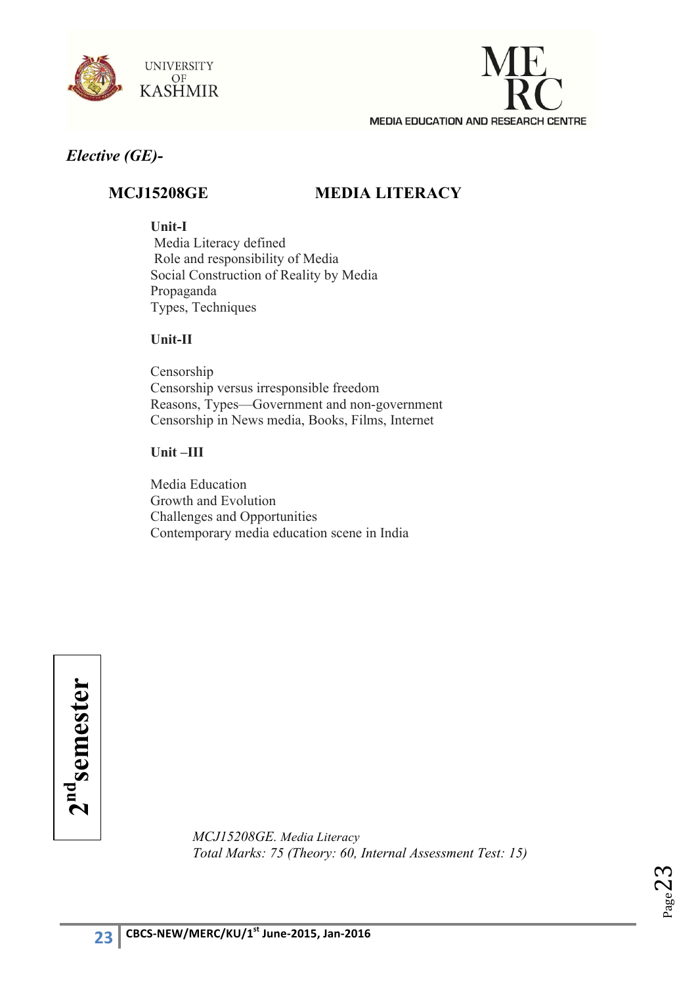



## *Elective (GE)-*

## **MCJ15208GE MEDIA LITERACY**

**Unit-I**

Media Literacy defined Role and responsibility of Media Social Construction of Reality by Media Propaganda Types, Techniques

#### **Unit-II**

Censorship Censorship versus irresponsible freedom Reasons, Types—Government and non-government Censorship in News media, Books, Films, Internet

## **Unit –III**

Media Education Growth and Evolution Challenges and Opportunities Contemporary media education scene in India

 $2<sup>nd</sup>$ semester **2ndsemester**

*MCJ15208GE. Media Literacy Total Marks: 75 (Theory: 60, Internal Assessment Test: 15)* 

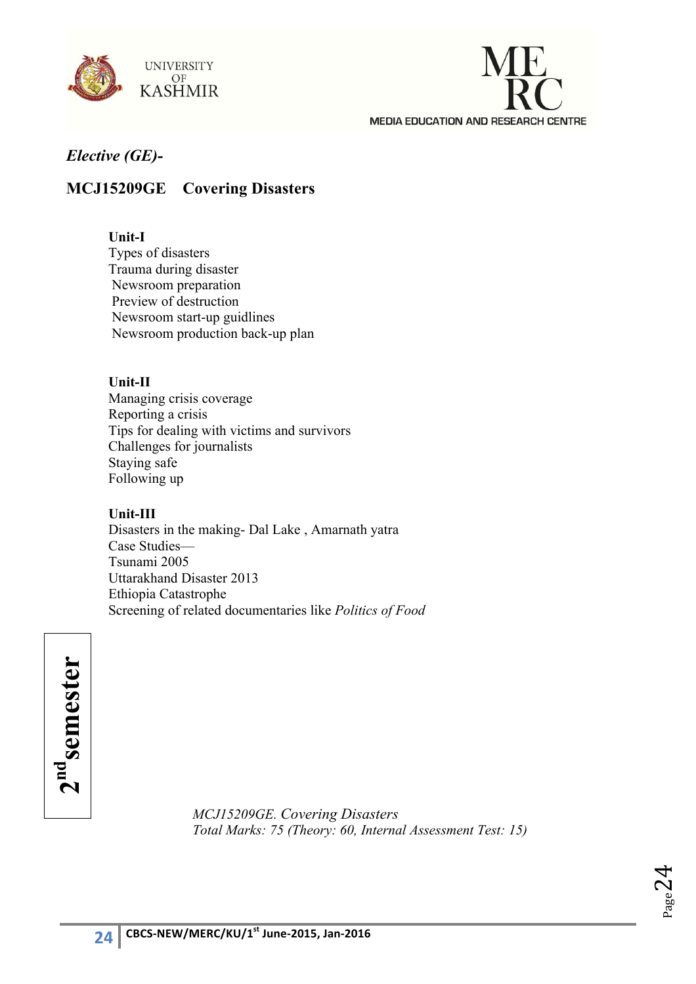



## *Elective (GE)-*

## **MCJ15209GE Covering Disasters**

#### **Unit-I**

Types of disasters Trauma during disaster Newsroom preparation Preview of destruction Newsroom start-up guidlines Newsroom production back-up plan

#### **Unit-II**

Managing crisis coverage Reporting a crisis Tips for dealing with victims and survivors Challenges for journalists Staying safe Following up

#### **Unit-III**

Disasters in the making- Dal Lake , Amarnath yatra Case Studies— Tsunami 2005 Uttarakhand Disaster 2013 Ethiopia Catastrophe Screening of related documentaries like *Politics of Food*

 $2<sup>nd</sup>$ semester **2ndsemester**

*MCJ15209GE. Covering Disasters Total Marks: 75 (Theory: 60, Internal Assessment Test: 15)* 

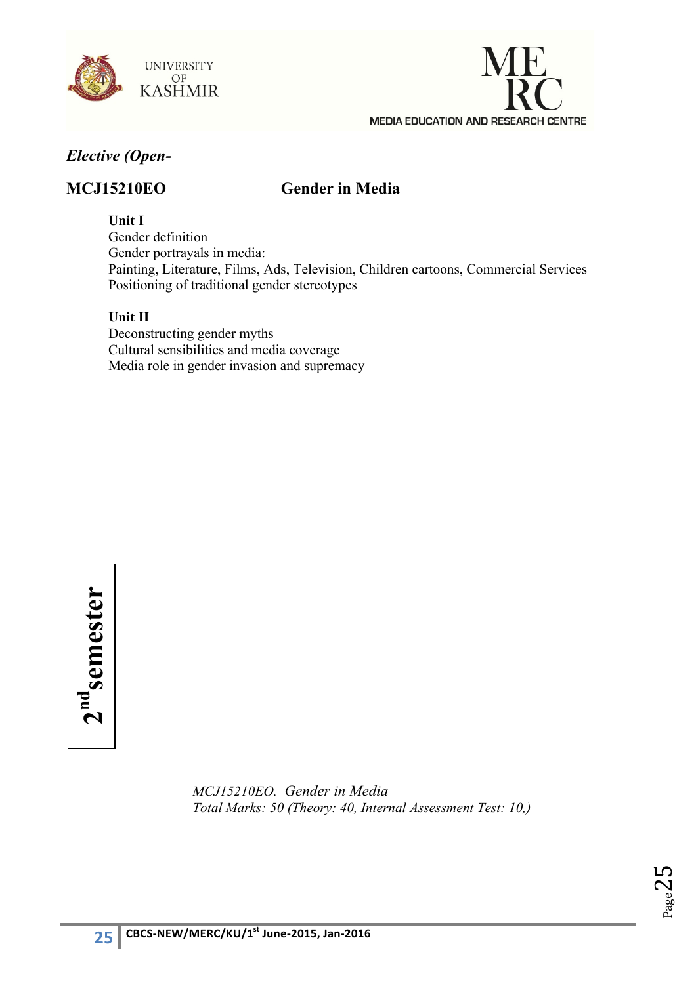



## *Elective (Open-*

## **MCJ15210EO Gender in Media**

**Unit I**

Gender definition Gender portrayals in media: Painting, Literature, Films, Ads, Television, Children cartoons, Commercial Services Positioning of traditional gender stereotypes

#### **Unit II**

Deconstructing gender myths Cultural sensibilities and media coverage Media role in gender invasion and supremacy

 $2<sup>nd</sup>$ semester **2ndsemester**

> *MCJ15210EO. Gender in Media Total Marks: 50 (Theory: 40, Internal Assessment Test: 10,)*

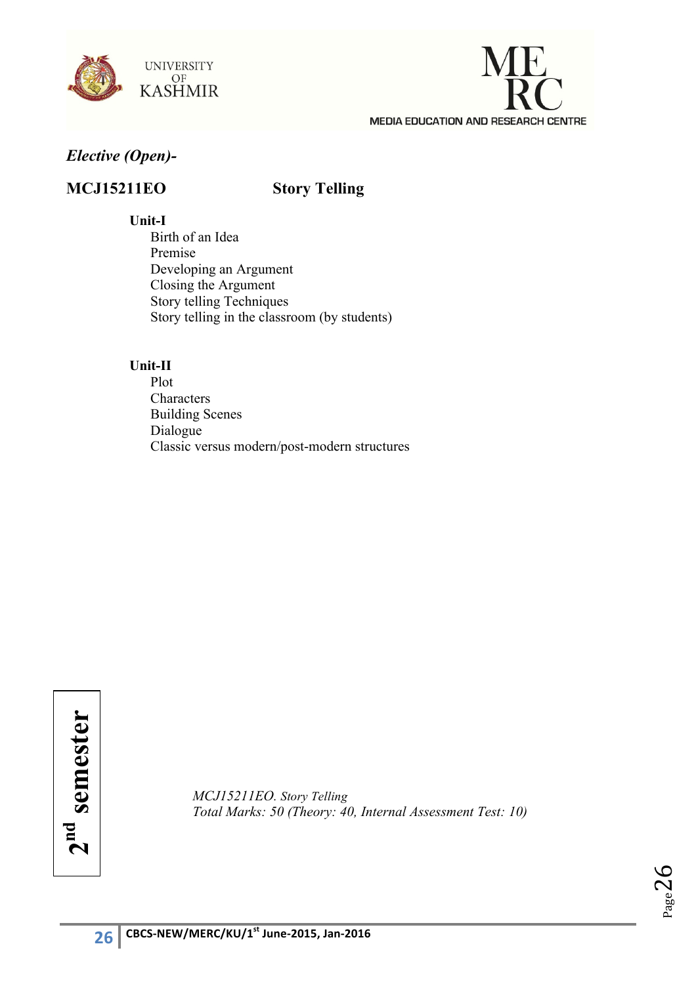



## *Elective (Open)-*

## **MCJ15211EO Story Telling**

#### **Unit-I**

Birth of an Idea Premise Developing an Argument Closing the Argument Story telling Techniques Story telling in the classroom (by students)

#### **Unit-II**

Plot Characters Building Scenes Dialogue Classic versus modern/post-modern structures

 $2<sup>nd</sup>$  semester **2nd semester**

*MCJ15211EO. Story Telling Total Marks: 50 (Theory: 40, Internal Assessment Test: 10)*

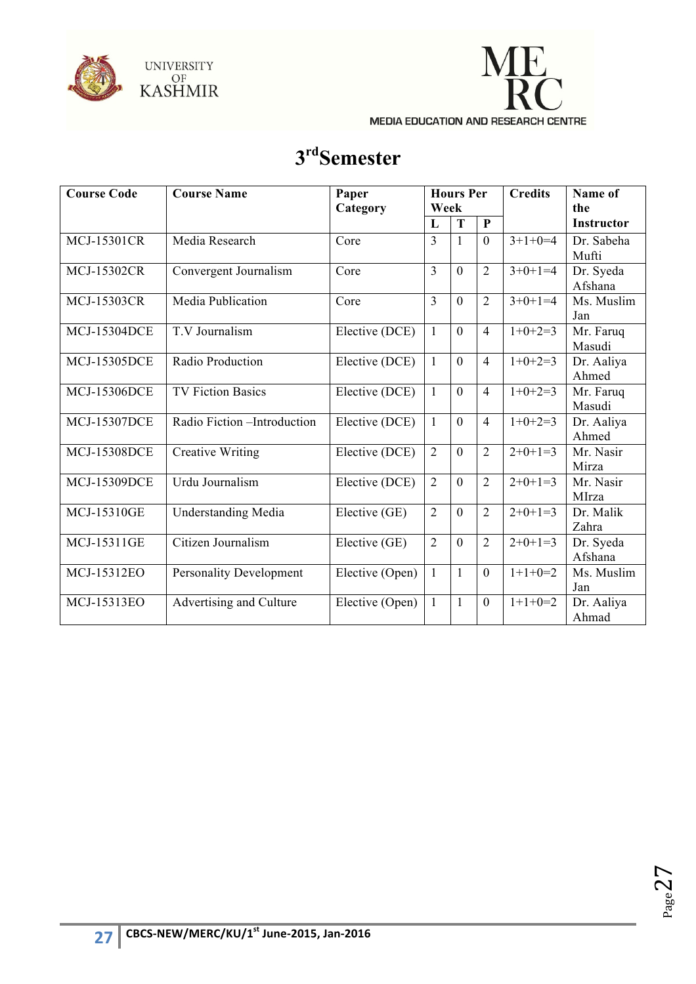



# **3rdSemester**

| <b>Course Code</b>  | <b>Course Name</b>             | Paper<br>Category |                | <b>Hours Per</b><br>Week |                | <b>Credits</b> | Name of<br>the       |
|---------------------|--------------------------------|-------------------|----------------|--------------------------|----------------|----------------|----------------------|
|                     |                                |                   | L              | T                        | $\mathbf{P}$   |                | <b>Instructor</b>    |
| <b>MCJ-15301CR</b>  | Media Research                 | Core              | $\overline{3}$ | $\mathbf{1}$             | $\mathbf{0}$   | $3+1+0=4$      | Dr. Sabeha<br>Mufti  |
| <b>MCJ-15302CR</b>  | Convergent Journalism          | Core              | $\overline{3}$ | $\theta$                 | $\overline{2}$ | $3+0+1=4$      | Dr. Syeda<br>Afshana |
| <b>MCJ-15303CR</b>  | Media Publication              | Core              | 3              | $\theta$                 | $\overline{2}$ | $3+0+1=4$      | Ms. Muslim<br>Jan    |
| <b>MCJ-15304DCE</b> | T.V Journalism                 | Elective (DCE)    | $\mathbf{1}$   | $\theta$                 | $\overline{4}$ | $1+0+2=3$      | Mr. Faruq<br>Masudi  |
| <b>MCJ-15305DCE</b> | Radio Production               | Elective (DCE)    | $\mathbf{1}$   | $\overline{0}$           | $\overline{4}$ | $1+0+2=3$      | Dr. Aaliya<br>Ahmed  |
| <b>MCJ-15306DCE</b> | <b>TV Fiction Basics</b>       | Elective (DCE)    | $\mathbf{1}$   | $\theta$                 | $\overline{4}$ | $1+0+2=3$      | Mr. Faruq<br>Masudi  |
| <b>MCJ-15307DCE</b> | Radio Fiction - Introduction   | Elective (DCE)    | $\mathbf{1}$   | $\overline{0}$           | $\overline{4}$ | $1+0+2=3$      | Dr. Aaliya<br>Ahmed  |
| <b>MCJ-15308DCE</b> | <b>Creative Writing</b>        | Elective (DCE)    | $\overline{2}$ | $\theta$                 | $\overline{2}$ | $2+0+1=3$      | Mr. Nasir<br>Mirza   |
| <b>MCJ-15309DCE</b> | Urdu Journalism                | Elective (DCE)    | 2              | $\Omega$                 | $\overline{2}$ | $2+0+1=3$      | Mr. Nasir<br>MIrza   |
| <b>MCJ-15310GE</b>  | <b>Understanding Media</b>     | Elective (GE)     | $\overline{2}$ | $\overline{0}$           | $\overline{2}$ | $2+0+1=3$      | Dr. Malik<br>Zahra   |
| MCJ-15311GE         | Citizen Journalism             | Elective (GE)     | $\overline{2}$ | $\theta$                 | $\overline{2}$ | $2+0+1=3$      | Dr. Syeda<br>Afshana |
| MCJ-15312EO         | <b>Personality Development</b> | Elective (Open)   | $\mathbf{1}$   | $\mathbf{1}$             | $\overline{0}$ | $1+1+0=2$      | Ms. Muslim<br>Jan    |
| MCJ-15313EO         | Advertising and Culture        | Elective (Open)   | $\mathbf{1}$   | $\mathbf{1}$             | $\mathbf{0}$   | $1+1+0=2$      | Dr. Aaliya<br>Ahmad  |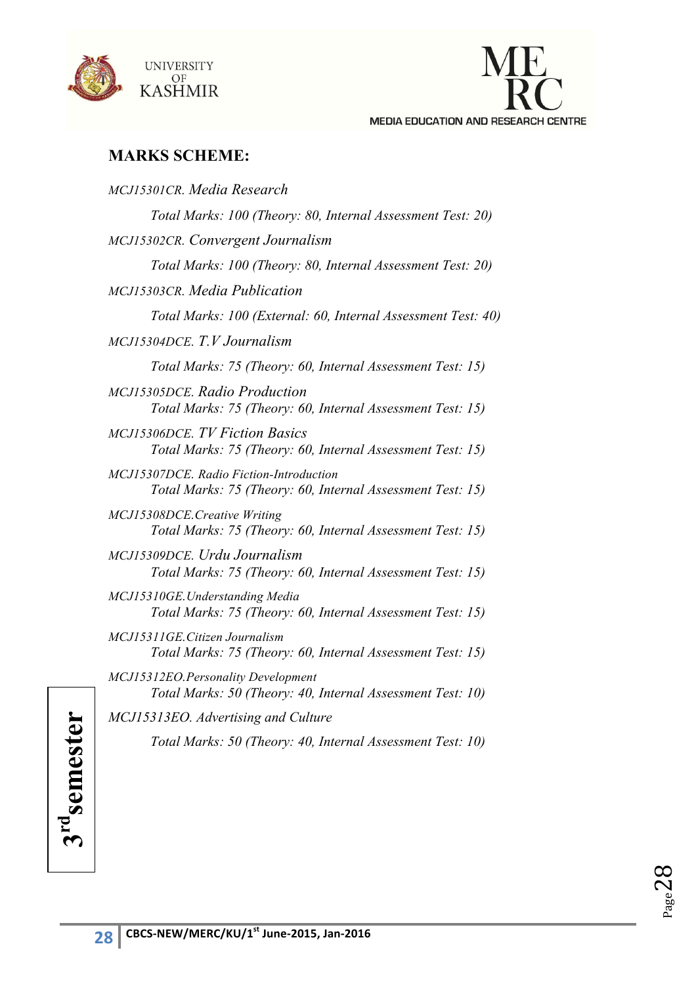



## **MARKS SCHEME:**

| Total Marks: 100 (Theory: 80, Internal Assessment Test: 20)<br>MCJ15302CR. Convergent Journalism<br>Total Marks: 100 (Theory: 80, Internal Assessment Test: 20)<br>MCJ15303CR. Media Publication<br>Total Marks: 100 (External: 60, Internal Assessment Test: 40)<br>MCJ15304DCE. T.V Journalism<br>Total Marks: 75 (Theory: 60, Internal Assessment Test: 15)<br><b>MCJ15305DCE, Radio Production</b><br>Total Marks: 75 (Theory: 60, Internal Assessment Test: 15)<br><b>MCJ15306DCE.</b> TV Fiction Basics<br>Total Marks: 75 (Theory: 60, Internal Assessment Test: 15)<br>MCJ15307DCE, Radio Fiction-Introduction<br>Total Marks: 75 (Theory: 60, Internal Assessment Test: 15)<br>MCJ15308DCE.Creative Writing<br>Total Marks: 75 (Theory: 60, Internal Assessment Test: 15)<br>MCJ15309DCE, Urdu Journalism<br>Total Marks: 75 (Theory: 60, Internal Assessment Test: 15)<br>MCJ15310GE. Understanding Media<br>Total Marks: 75 (Theory: 60, Internal Assessment Test: 15)<br>MCJ15311GE.Citizen Journalism<br>Total Marks: 75 (Theory: 60, Internal Assessment Test: 15)<br>MCJ15312EO.Personality Development<br>Total Marks: 50 (Theory: 40, Internal Assessment Test: 10)<br>MCJ15313EO. Advertising and Culture<br>Total Marks: 50 (Theory: 40, Internal Assessment Test: 10) | MCJ15301CR. Media Research |
|-------------------------------------------------------------------------------------------------------------------------------------------------------------------------------------------------------------------------------------------------------------------------------------------------------------------------------------------------------------------------------------------------------------------------------------------------------------------------------------------------------------------------------------------------------------------------------------------------------------------------------------------------------------------------------------------------------------------------------------------------------------------------------------------------------------------------------------------------------------------------------------------------------------------------------------------------------------------------------------------------------------------------------------------------------------------------------------------------------------------------------------------------------------------------------------------------------------------------------------------------------------------------------------------|----------------------------|
|                                                                                                                                                                                                                                                                                                                                                                                                                                                                                                                                                                                                                                                                                                                                                                                                                                                                                                                                                                                                                                                                                                                                                                                                                                                                                           |                            |
|                                                                                                                                                                                                                                                                                                                                                                                                                                                                                                                                                                                                                                                                                                                                                                                                                                                                                                                                                                                                                                                                                                                                                                                                                                                                                           |                            |
|                                                                                                                                                                                                                                                                                                                                                                                                                                                                                                                                                                                                                                                                                                                                                                                                                                                                                                                                                                                                                                                                                                                                                                                                                                                                                           |                            |
|                                                                                                                                                                                                                                                                                                                                                                                                                                                                                                                                                                                                                                                                                                                                                                                                                                                                                                                                                                                                                                                                                                                                                                                                                                                                                           |                            |
|                                                                                                                                                                                                                                                                                                                                                                                                                                                                                                                                                                                                                                                                                                                                                                                                                                                                                                                                                                                                                                                                                                                                                                                                                                                                                           |                            |
|                                                                                                                                                                                                                                                                                                                                                                                                                                                                                                                                                                                                                                                                                                                                                                                                                                                                                                                                                                                                                                                                                                                                                                                                                                                                                           |                            |
|                                                                                                                                                                                                                                                                                                                                                                                                                                                                                                                                                                                                                                                                                                                                                                                                                                                                                                                                                                                                                                                                                                                                                                                                                                                                                           |                            |
|                                                                                                                                                                                                                                                                                                                                                                                                                                                                                                                                                                                                                                                                                                                                                                                                                                                                                                                                                                                                                                                                                                                                                                                                                                                                                           |                            |
|                                                                                                                                                                                                                                                                                                                                                                                                                                                                                                                                                                                                                                                                                                                                                                                                                                                                                                                                                                                                                                                                                                                                                                                                                                                                                           |                            |
|                                                                                                                                                                                                                                                                                                                                                                                                                                                                                                                                                                                                                                                                                                                                                                                                                                                                                                                                                                                                                                                                                                                                                                                                                                                                                           |                            |
|                                                                                                                                                                                                                                                                                                                                                                                                                                                                                                                                                                                                                                                                                                                                                                                                                                                                                                                                                                                                                                                                                                                                                                                                                                                                                           |                            |
|                                                                                                                                                                                                                                                                                                                                                                                                                                                                                                                                                                                                                                                                                                                                                                                                                                                                                                                                                                                                                                                                                                                                                                                                                                                                                           |                            |
|                                                                                                                                                                                                                                                                                                                                                                                                                                                                                                                                                                                                                                                                                                                                                                                                                                                                                                                                                                                                                                                                                                                                                                                                                                                                                           |                            |
|                                                                                                                                                                                                                                                                                                                                                                                                                                                                                                                                                                                                                                                                                                                                                                                                                                                                                                                                                                                                                                                                                                                                                                                                                                                                                           |                            |
|                                                                                                                                                                                                                                                                                                                                                                                                                                                                                                                                                                                                                                                                                                                                                                                                                                                                                                                                                                                                                                                                                                                                                                                                                                                                                           |                            |
|                                                                                                                                                                                                                                                                                                                                                                                                                                                                                                                                                                                                                                                                                                                                                                                                                                                                                                                                                                                                                                                                                                                                                                                                                                                                                           |                            |
|                                                                                                                                                                                                                                                                                                                                                                                                                                                                                                                                                                                                                                                                                                                                                                                                                                                                                                                                                                                                                                                                                                                                                                                                                                                                                           |                            |

 $_{Page}$ 28

**3rdsemester**

 $3<sup>rd</sup>$ semester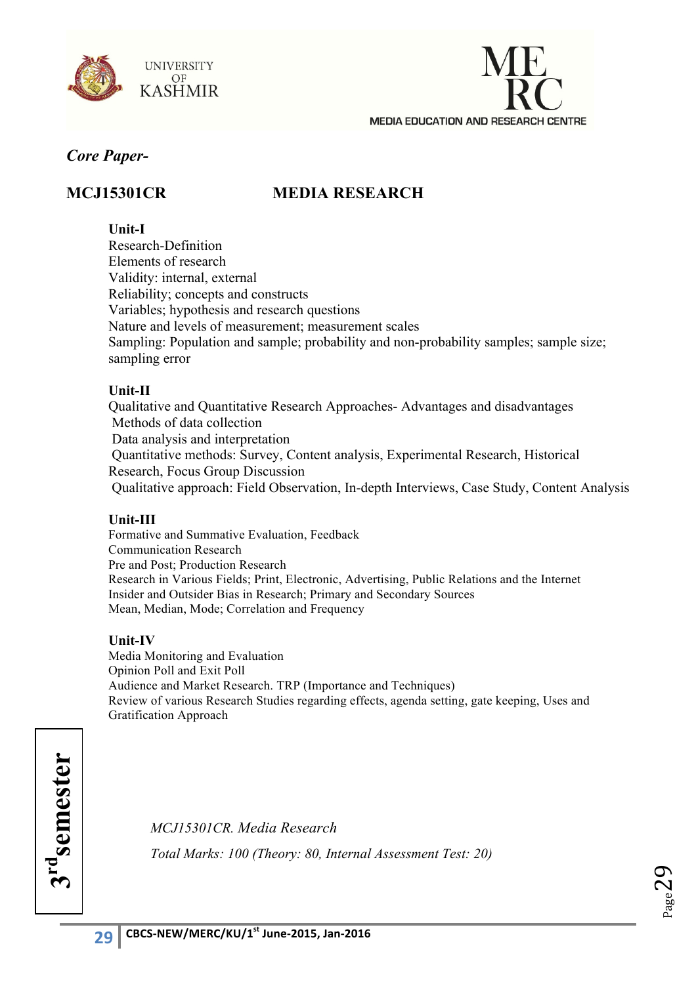



## **MCJ15301CR MEDIA RESEARCH**

### **Unit-I**

Research-Definition Elements of research Validity: internal, external Reliability; concepts and constructs Variables; hypothesis and research questions Nature and levels of measurement; measurement scales Sampling: Population and sample; probability and non-probability samples; sample size; sampling error

## **Unit-II**

Qualitative and Quantitative Research Approaches- Advantages and disadvantages Methods of data collection Data analysis and interpretation Quantitative methods: Survey, Content analysis, Experimental Research, Historical Research, Focus Group Discussion Qualitative approach: Field Observation, In-depth Interviews, Case Study, Content Analysis

## **Unit-III**

Formative and Summative Evaluation, Feedback Communication Research Pre and Post; Production Research Research in Various Fields; Print, Electronic, Advertising, Public Relations and the Internet Insider and Outsider Bias in Research; Primary and Secondary Sources Mean, Median, Mode; Correlation and Frequency

#### **Unit-IV**

Media Monitoring and Evaluation Opinion Poll and Exit Poll Audience and Market Research. TRP (Importance and Techniques) Review of various Research Studies regarding effects, agenda setting, gate keeping, Uses and Gratification Approach

*MCJ15301CR. Media Research Total Marks: 100 (Theory: 80, Internal Assessment Test: 20)*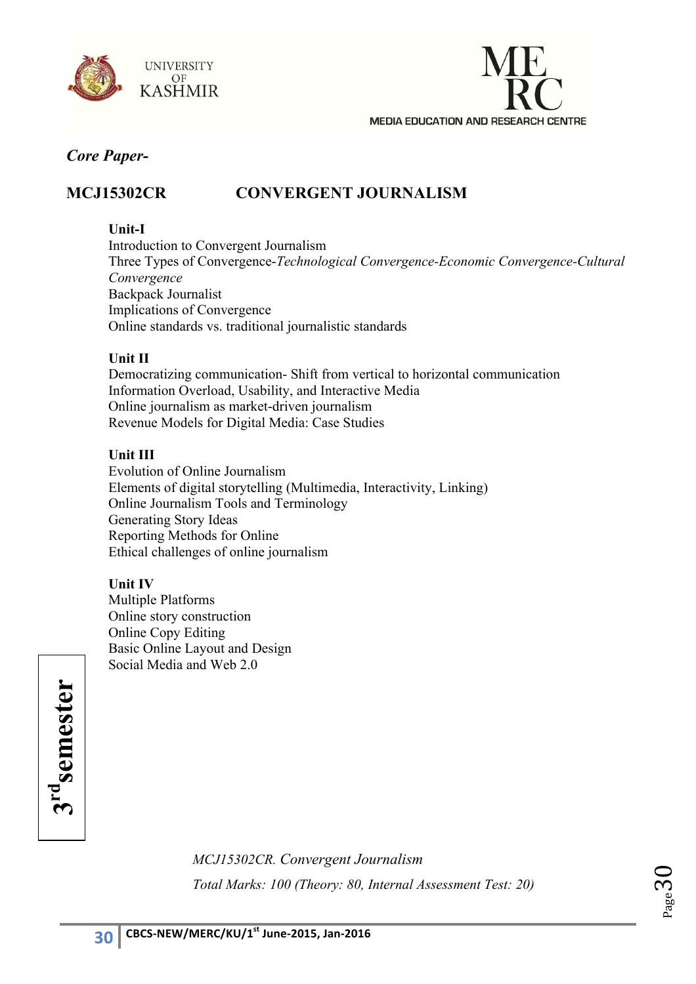



## **MCJ15302CR CONVERGENT JOURNALISM**

### **Unit-I**

Introduction to Convergent Journalism Three Types of Convergence-*Technological Convergence-Economic Convergence-Cultural Convergence* Backpack Journalist Implications of Convergence Online standards vs. traditional journalistic standards

#### **Unit II**

Democratizing communication- Shift from vertical to horizontal communication Information Overload, Usability, and Interactive Media Online journalism as market-driven journalism Revenue Models for Digital Media: Case Studies

#### **Unit III**

Evolution of Online Journalism Elements of digital storytelling (Multimedia, Interactivity, Linking) Online Journalism Tools and Terminology Generating Story Ideas Reporting Methods for Online Ethical challenges of online journalism

## **Unit IV**

Multiple Platforms Online story construction Online Copy Editing Basic Online Layout and Design Social Media and Web 2.0

3rd<sub>semester</sub> **3rdsemester**

> *MCJ15302CR. Convergent Journalism Total Marks: 100 (Theory: 80, Internal Assessment Test: 20)*

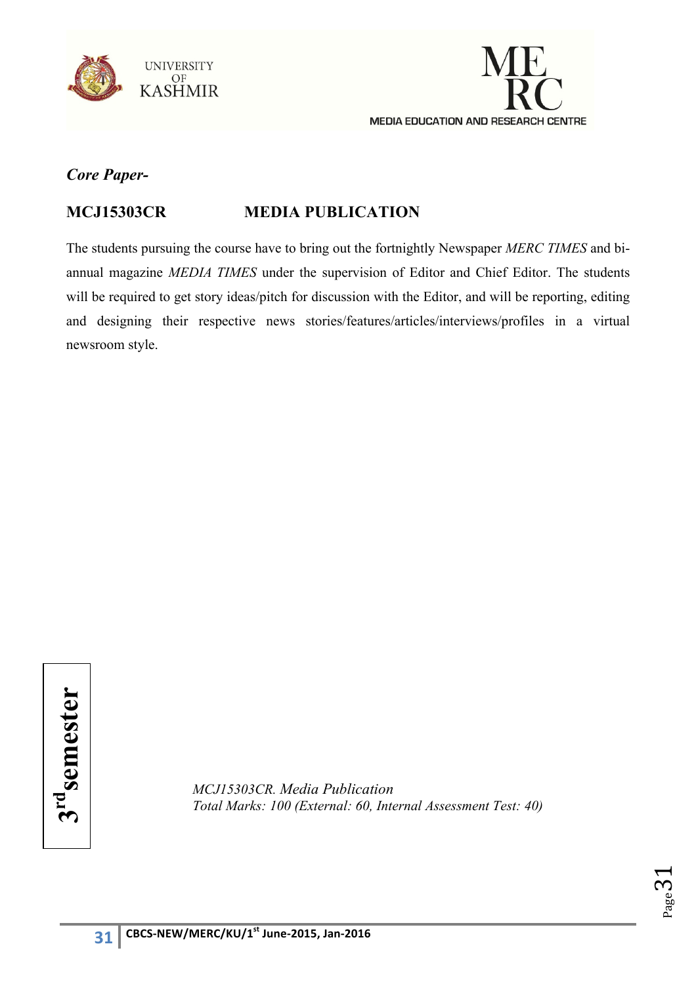



## **MCJ15303CR MEDIA PUBLICATION**

The students pursuing the course have to bring out the fortnightly Newspaper *MERC TIMES* and biannual magazine *MEDIA TIMES* under the supervision of Editor and Chief Editor. The students will be required to get story ideas/pitch for discussion with the Editor, and will be reporting, editing and designing their respective news stories/features/articles/interviews/profiles in a virtual newsroom style.

*MCJ15303CR. Media Publication*  **Total Marks: 100 (External: 60, Internal Assessment Test: 40)**<br> **37**<br> **37**<br> **37**<br> **37**<br> **37**<br> **37**<br> **37**<br> **37**<br> **37**<br> **37**<br> **37**<br> **37**<br> **37**<br> **37**<br> **37**<br> **37**<br> **37**<br> **37**<br> **37**<br> **37**<br> **37**<br> **37**<br> **37**<br> **37**<br> **37**<br> **37**<br>

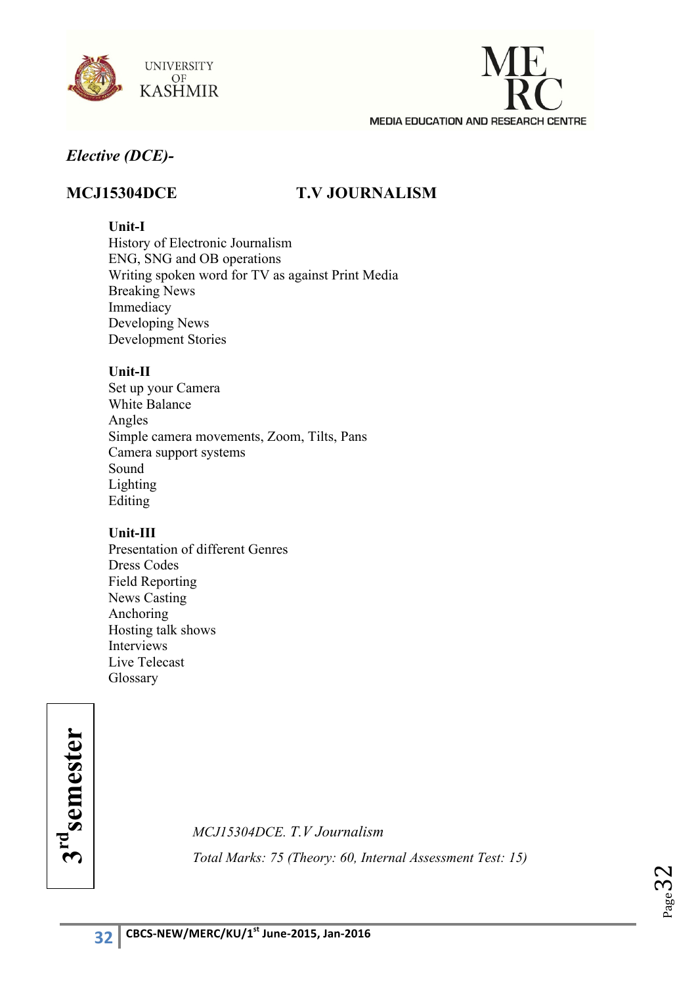



## **MCJ15304DCE T.V JOURNALISM**

## **Unit-I**

History of Electronic Journalism ENG, SNG and OB operations Writing spoken word for TV as against Print Media Breaking News Immediacy Developing News Development Stories

#### **Unit-II**

Set up your Camera White Balance Angles Simple camera movements, Zoom, Tilts, Pans Camera support systems Sound Lighting Editing

## **Unit-III**

Presentation of different Genres Dress Codes Field Reporting News Casting Anchoring Hosting talk shows Interviews Live Telecast Glossary

**m rdsemester**

*MCJ15304DCE. T.V Journalism Total Marks: 75 (Theory: 60, Internal Assessment Test: 15)* 

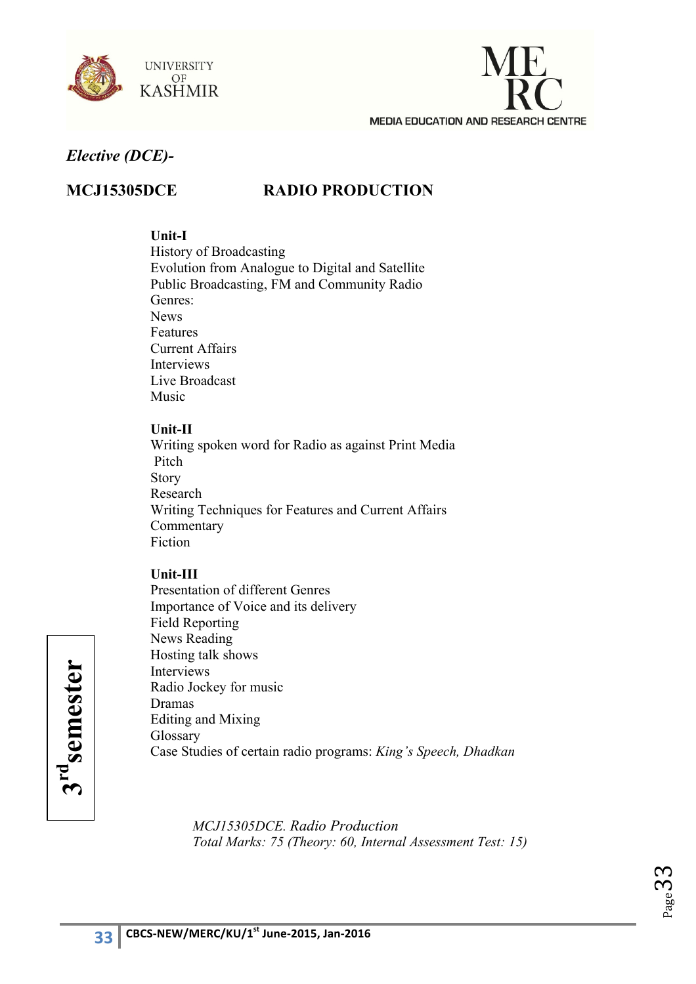



## **MCJ15305DCE RADIO PRODUCTION**

#### **Unit-I**

History of Broadcasting Evolution from Analogue to Digital and Satellite Public Broadcasting, FM and Community Radio Genres: News Features Current Affairs Interviews Live Broadcast Music

#### **Unit-II**

Writing spoken word for Radio as against Print Media Pitch Story Research Writing Techniques for Features and Current Affairs **Commentary** Fiction

## **Unit-III**

Presentation of different Genres Importance of Voice and its delivery Field Reporting News Reading Hosting talk shows Interviews Radio Jockey for music Dramas Editing and Mixing Glossary Case Studies of certain radio programs: *King's Speech, Dhadkan*

> *MCJ15305DCE. Radio Production Total Marks: 75 (Theory: 60, Internal Assessment Test: 15)*



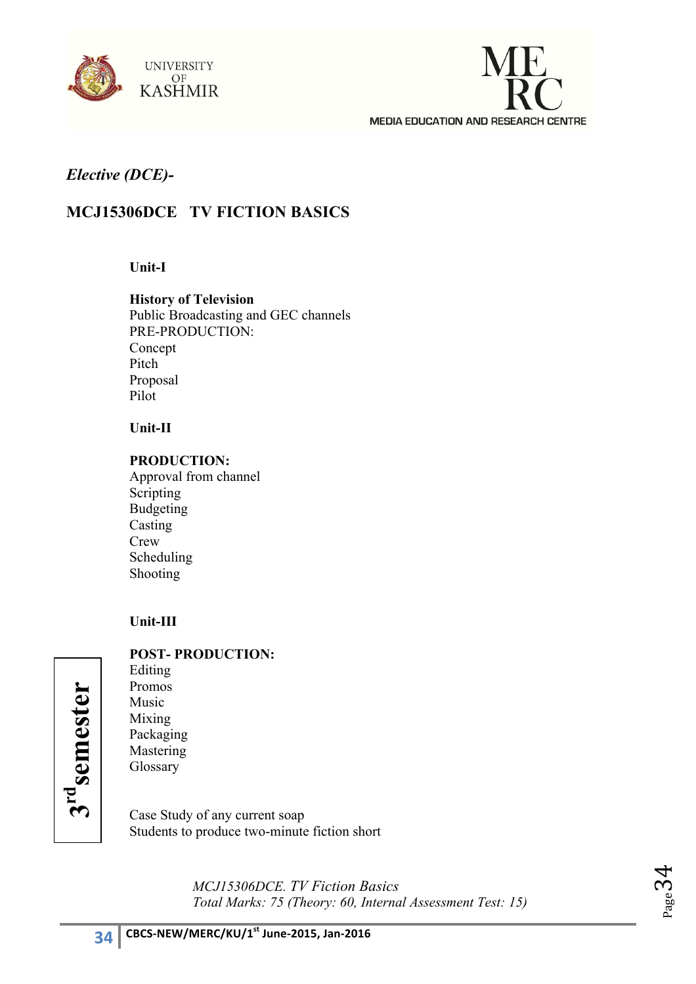



## **MCJ15306DCE TV FICTION BASICS**

#### **Unit-I**

**History of Television** Public Broadcasting and GEC channels PRE-PRODUCTION: Concept Pitch Proposal Pilot

#### **Unit-II**

#### **PRODUCTION:**

Approval from channel Scripting Budgeting Casting **Crew** Scheduling Shooting

#### **Unit-III**

#### **POST- PRODUCTION:**

Editing Promos Music Mixing Packaging Mastering Glossary

Case Study of any current soap Students to produce two-minute fiction short

> *MCJ15306DCE. TV Fiction Basics Total Marks: 75 (Theory: 60, Internal Assessment Test: 15)*



**3rdsemester**

3<sup>rd</sup>semester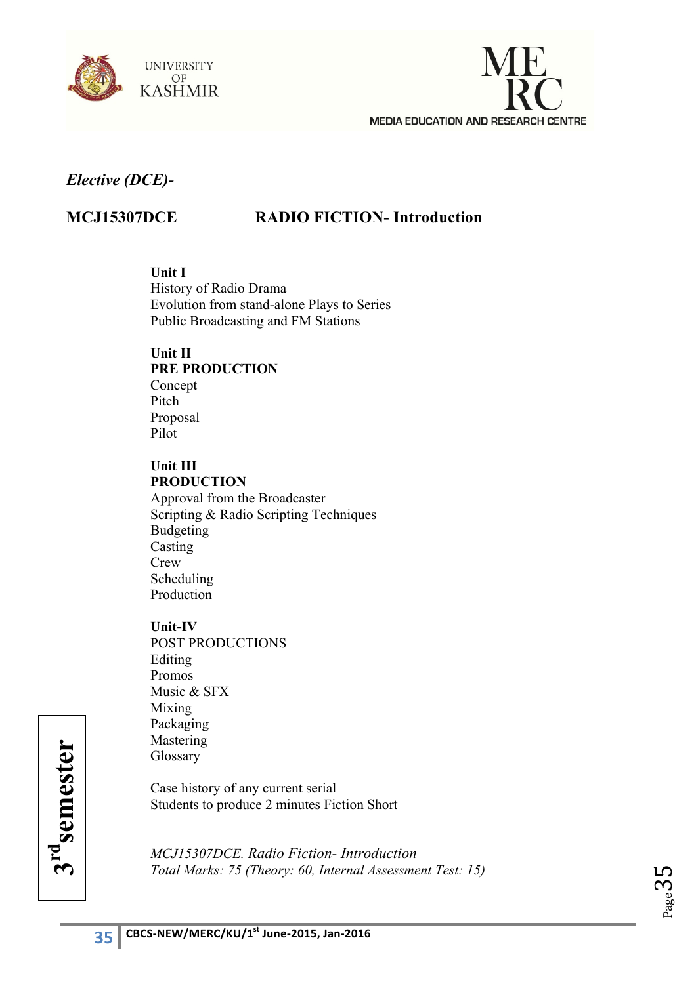



## **MCJ15307DCE RADIO FICTION- Introduction**

**Unit I** 

History of Radio Drama Evolution from stand-alone Plays to Series Public Broadcasting and FM Stations

## **Unit II**

## **PRE PRODUCTION**

Concept Pitch Proposal Pilot

### **Unit III PRODUCTION**

Approval from the Broadcaster Scripting & Radio Scripting Techniques Budgeting Casting Crew Scheduling Production

#### **Unit-IV**

POST PRODUCTIONS Editing Promos Music & SFX Mixing Packaging Mastering Glossary

Case history of any current serial Students to produce 2 minutes Fiction Short

*MCJ15307DCE. Radio Fiction- Introduction Total Marks: 75 (Theory: 60, Internal Assessment Test: 15)* 



<u>পে</u> **rdsemester**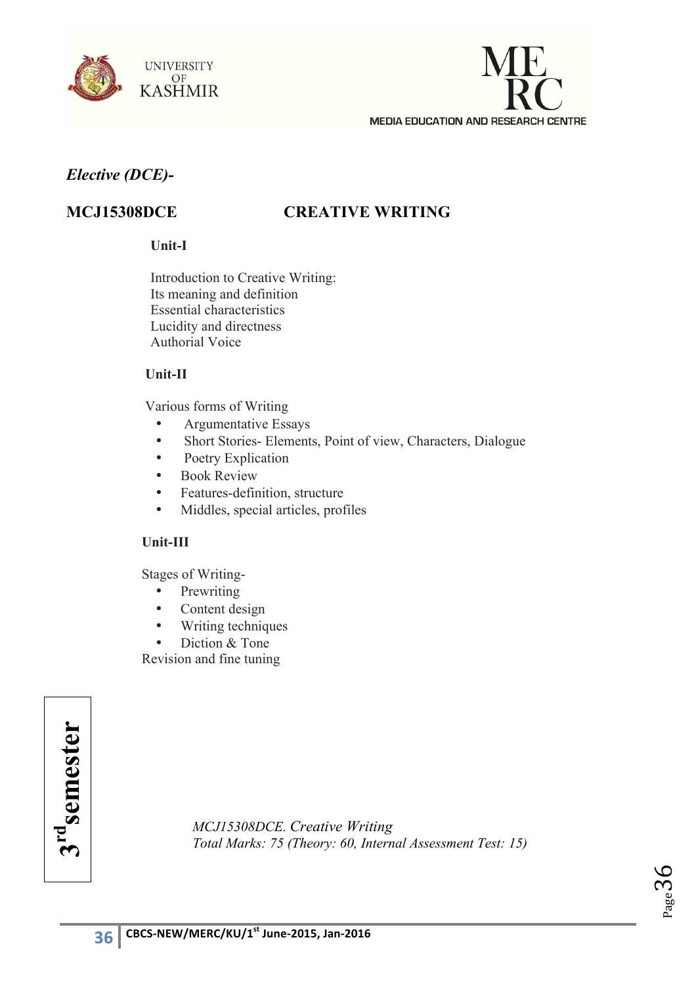



## **MCJ15308DCE CREATIVE WRITING**

#### **Unit-I**

Introduction to Creative Writing: Its meaning and definition Essential characteristics Lucidity and directness Authorial Voice

#### **Unit-II**

Various forms of Writing

- Argumentative Essays
- Short Stories- Elements, Point of view, Characters, Dialogue
- Poetry Explication
- Book Review
- Features-definition, structure
- Middles, special articles, profiles

#### **Unit-III**

Stages of Writing-

- Prewriting
- Content design
- Writing techniques
- Diction & Tone

Revision and fine tuning

*MCJ15308DCE. Creative Writing*  **Total Marks: 75** *(Theory: 60, Internal Assessment Test: 15)*<br> **37**<br> **37**<br> **37**<br> **37**<br> **37**<br> **37**<br> **37**<br> **37**<br> **37**<br> **37**<br> **37**<br> **37**<br> **37**<br> **37**<br> **37**<br> **37**<br> **37**<br> **37**<br> **37**<br> **37**<br> **37**<br> **37**<br> **37**<br> **37**<br> **38**<br> **38**<br> **3** 

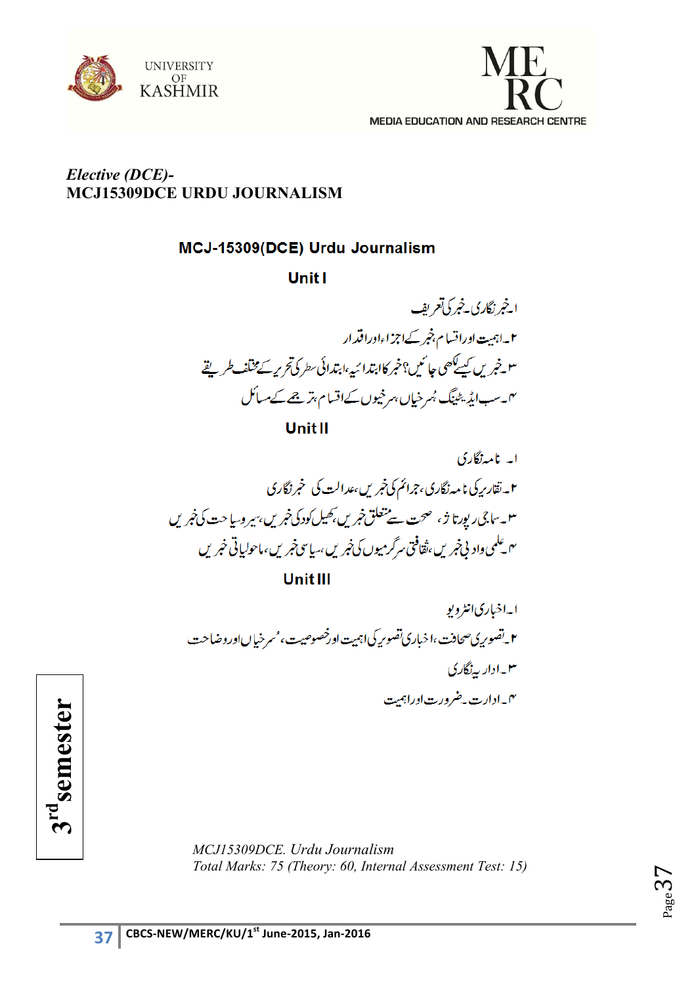



## *Elective (DCE)-* **MCJ15309DCE URDU JOURNALISM**

## MCJ-15309(DCE) Urdu Journalism

**Unit1** 

ا<u>خبرنگاری خبر کی</u>تعریف ۲۔اہمیت اوراقسام بنجر کےاجز اءاوراقدار ۳ - خبر یں کیے کھی جا ئیں؟خبر کاابتدائیہ،ابتدائی سطر کی تحریر کے مختلف طریقے <sup>ی</sup>ں۔سب ایڈیٹینگ بُسرخیاں ہرخیوں کےاقسام بتر جے کےمسائل

**Unit II** 



ابه اخباری انٹرویو ۲\_تصور پی صحافت،اخباری تصور پکی اہمیت اورخصوصیت، مسرخیاںاوروضاحت ۱۳۔ادار پہ نگاری ۴\_ادارت به ضرورت اوراہمت

*MCJ15309DCE. Urdu Journalism Total Marks: 75 (Theory: 60, Internal Assessment Test: 15)* 



 $P_{\rm age}$ 37

3<sup>rd</sup>semester **3rdsemester**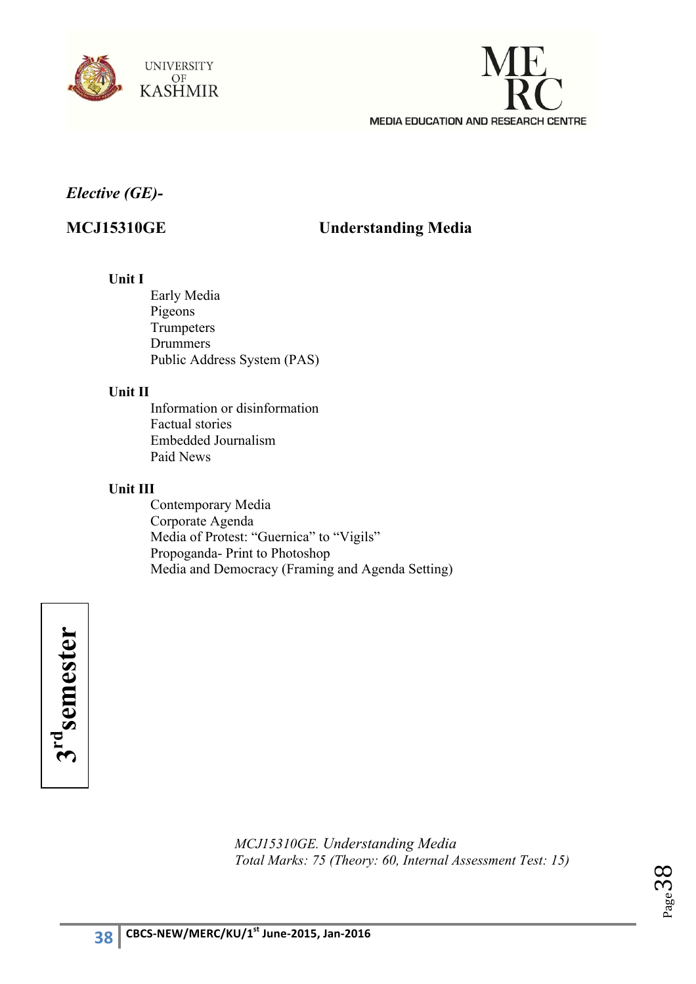



## *Elective (GE)-*

## **MCJ15310GE Understanding Media**

## **Unit I**

Early Media Pigeons **Trumpeters** Drummers Public Address System (PAS)

#### **Unit II**

Information or disinformation Factual stories Embedded Journalism Paid News

#### **Unit III**

Contemporary Media Corporate Agenda Media of Protest: "Guernica" to "Vigils" Propoganda- Print to Photoshop Media and Democracy (Framing and Agenda Setting)



*MCJ15310GE. Understanding Media Total Marks: 75 (Theory: 60, Internal Assessment Test: 15)* 

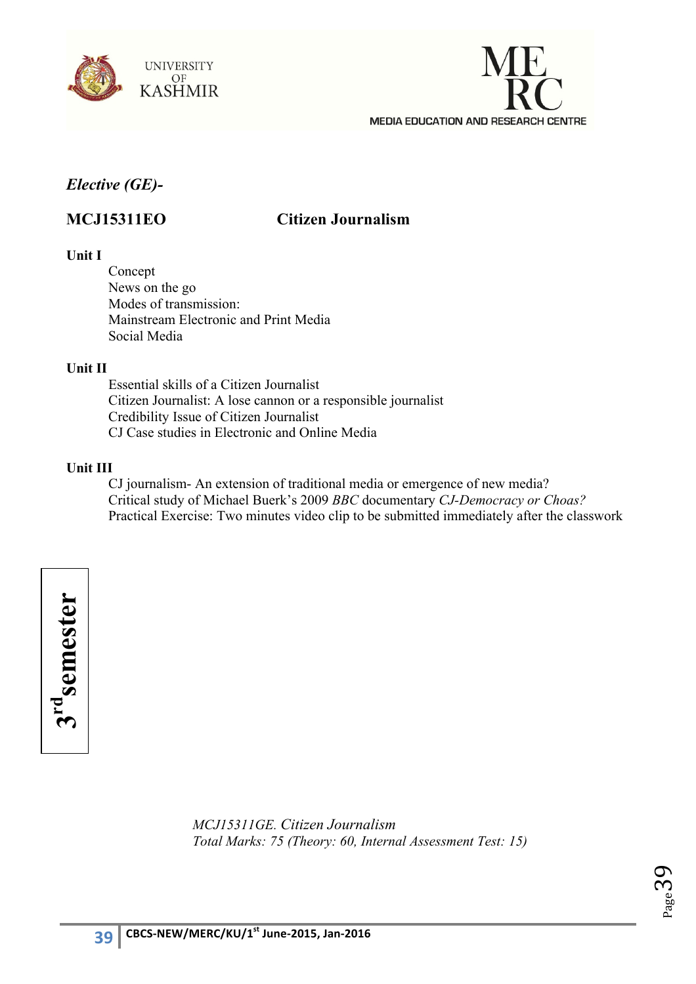



## *Elective (GE)-*

## **MCJ15311EO Citizen Journalism**

## **Unit I**

Concept News on the go Modes of transmission: Mainstream Electronic and Print Media Social Media

#### **Unit II**

Essential skills of a Citizen Journalist Citizen Journalist: A lose cannon or a responsible journalist Credibility Issue of Citizen Journalist CJ Case studies in Electronic and Online Media

## **Unit III**

CJ journalism- An extension of traditional media or emergence of new media? Critical study of Michael Buerk's 2009 *BBC* documentary *CJ-Democracy or Choas?* Practical Exercise: Two minutes video clip to be submitted immediately after the classwork

3rd<sub>semester</sub> **3rdsemester**

> *MCJ15311GE. Citizen Journalism Total Marks: 75 (Theory: 60, Internal Assessment Test: 15)*

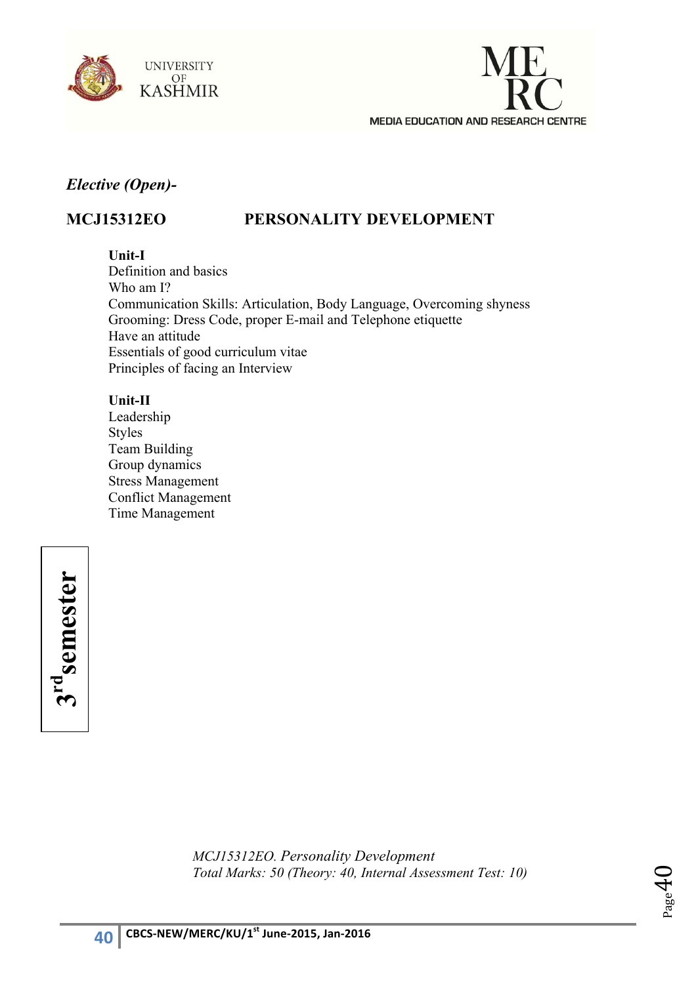



## *Elective (Open)-*

## **MCJ15312EO PERSONALITY DEVELOPMENT**

## **Unit-I**

Definition and basics Who am I? Communication Skills: Articulation, Body Language, Overcoming shyness Grooming: Dress Code, proper E-mail and Telephone etiquette Have an attitude Essentials of good curriculum vitae Principles of facing an Interview

## **Unit-II**

Leadership Styles Team Building Group dynamics Stress Management Conflict Management Time Management

3rd<sub>semester</sub> **3rdsemester**

> *MCJ15312EO. Personality Development Total Marks: 50 (Theory: 40, Internal Assessment Test: 10)*

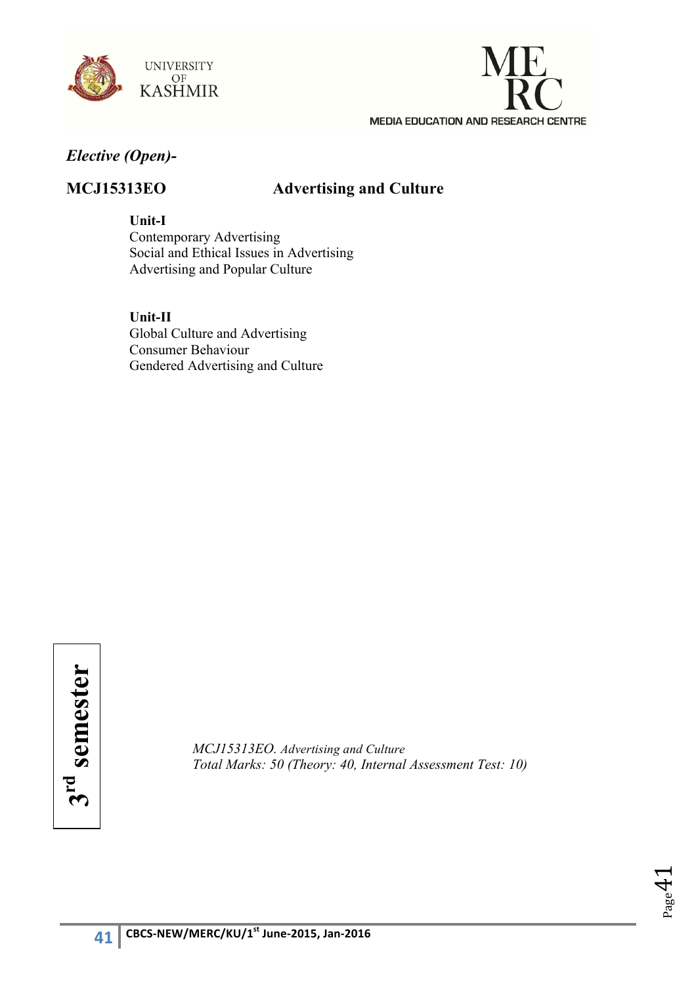



## *Elective (Open)-*

## **MCJ15313EO Advertising and Culture**

**Unit-I**

Contemporary Advertising Social and Ethical Issues in Advertising Advertising and Popular Culture

**Unit-II** Global Culture and Advertising Consumer Behaviour Gendered Advertising and Culture

*MCJ15313EO. Advertising and Culture Total Marks: 50 (Theory: 40, Internal Assessment Test: 10)*

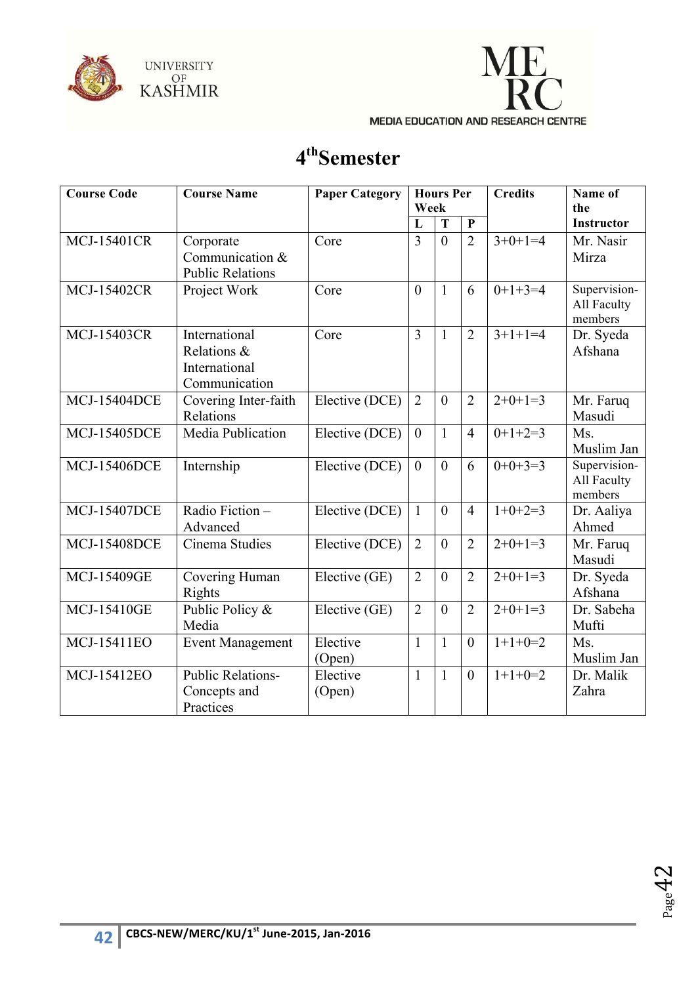



# **4thSemester**

| <b>Course Code</b>  | <b>Course Name</b>                                             | <b>Paper Category</b> | <b>Hours Per</b><br>Week |                |                  | <b>Credits</b> | Name of<br>the                         |
|---------------------|----------------------------------------------------------------|-----------------------|--------------------------|----------------|------------------|----------------|----------------------------------------|
|                     |                                                                |                       | L                        | T              | $\mathbf{P}$     |                | <b>Instructor</b>                      |
| <b>MCJ-15401CR</b>  | Corporate<br>Communication &<br><b>Public Relations</b>        | Core                  | 3                        | $\theta$       | $\overline{2}$   | $3+0+1=4$      | Mr. Nasir<br>Mirza                     |
| <b>MCJ-15402CR</b>  | Project Work                                                   | Core                  | $\overline{0}$           | $\mathbf{1}$   | 6                | $0+1+3=4$      | Supervision-<br>All Faculty<br>members |
| <b>MCJ-15403CR</b>  | International<br>Relations &<br>International<br>Communication | Core                  | $\overline{3}$           | $\mathbf{1}$   | $\overline{2}$   | $3+1+1=4$      | Dr. Syeda<br>Afshana                   |
| <b>MCJ-15404DCE</b> | Covering Inter-faith<br>Relations                              | Elective (DCE)        | $\overline{2}$           | $\overline{0}$ | $\overline{2}$   | $2+0+1=3$      | Mr. Faruq<br>Masudi                    |
| <b>MCJ-15405DCE</b> | Media Publication                                              | Elective (DCE)        | $\mathbf{0}$             | $\mathbf{1}$   | $\overline{4}$   | $0+1+2=3$      | Ms.<br>Muslim Jan                      |
| <b>MCJ-15406DCE</b> | Internship                                                     | Elective (DCE)        | $\mathbf{0}$             | $\theta$       | 6                | $0+0+3=3$      | Supervision-<br>All Faculty<br>members |
| <b>MCJ-15407DCE</b> | Radio Fiction $-$<br>Advanced                                  | Elective (DCE)        | $\mathbf{1}$             | $\overline{0}$ | $\overline{4}$   | $1+0+2=3$      | Dr. Aaliya<br>Ahmed                    |
| <b>MCJ-15408DCE</b> | Cinema Studies                                                 | Elective (DCE)        | $\overline{2}$           | $\theta$       | $\overline{2}$   | $2+0+1=3$      | Mr. Faruq<br>Masudi                    |
| <b>MCJ-15409GE</b>  | Covering Human<br>Rights                                       | Elective (GE)         | $\overline{2}$           | $\theta$       | $\overline{2}$   | $2+0+1=3$      | Dr. Syeda<br>Afshana                   |
| <b>MCJ-15410GE</b>  | Public Policy &<br>Media                                       | Elective (GE)         | $\overline{2}$           | $\overline{0}$ | $\overline{2}$   | $2+0+1=3$      | Dr. Sabeha<br>Mufti                    |
| <b>MCJ-15411EO</b>  | <b>Event Management</b>                                        | Elective<br>(Open)    | $\mathbf{1}$             | $\mathbf{1}$   | $\boldsymbol{0}$ | $1+1+0=2$      | Ms.<br>Muslim Jan                      |
| <b>MCJ-15412EO</b>  | <b>Public Relations-</b><br>Concepts and<br>Practices          | Elective<br>(Open)    | $\mathbf{1}$             | $\mathbf{1}$   | $\overline{0}$   | $1+1+0=2$      | Dr. Malik<br>Zahra                     |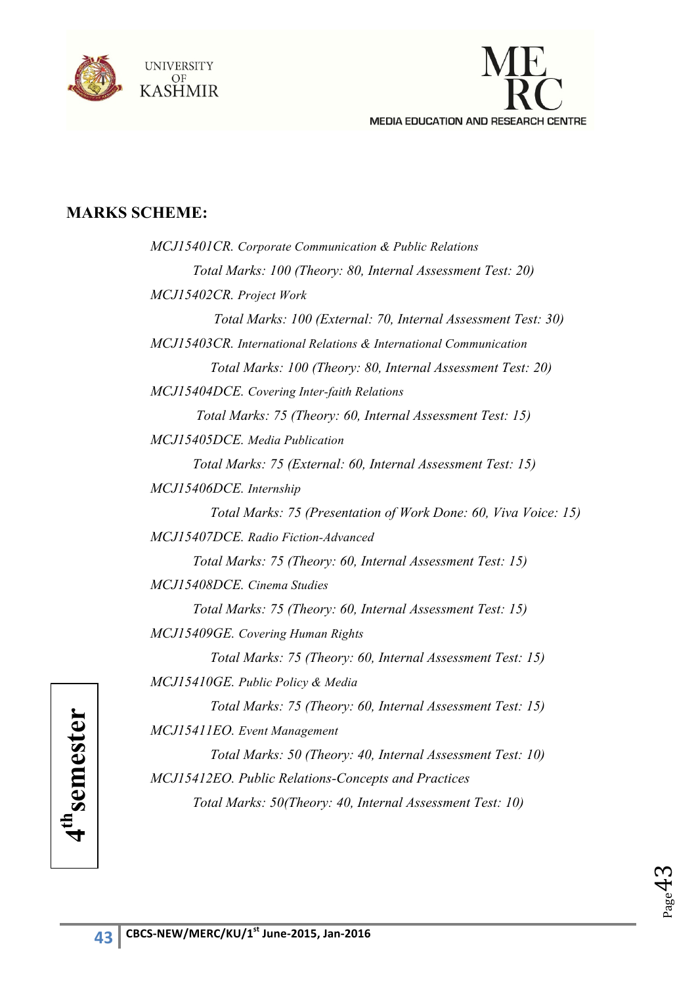



## **MARKS SCHEME:**

| MCJ15401CR. Corporate Communication & Public Relations            |
|-------------------------------------------------------------------|
| Total Marks: 100 (Theory: 80, Internal Assessment Test: 20)       |
| MCJ15402CR. Project Work                                          |
| Total Marks: 100 (External: 70, Internal Assessment Test: 30)     |
| MCJ15403CR. International Relations & International Communication |
| Total Marks: 100 (Theory: 80, Internal Assessment Test: 20)       |
| MCJ15404DCE. Covering Inter-faith Relations                       |
| Total Marks: 75 (Theory: 60, Internal Assessment Test: 15)        |
| MCJ15405DCE. Media Publication                                    |
| Total Marks: 75 (External: 60, Internal Assessment Test: 15)      |
| MCJ15406DCE. Internship                                           |
| Total Marks: 75 (Presentation of Work Done: 60, Viva Voice: 15)   |
| MCJ15407DCE, Radio Fiction-Advanced                               |
| Total Marks: 75 (Theory: 60, Internal Assessment Test: 15)        |
| MCJ15408DCE. Cinema Studies                                       |
| Total Marks: 75 (Theory: 60, Internal Assessment Test: 15)        |
| MCJ15409GE. Covering Human Rights                                 |
| Total Marks: 75 (Theory: 60, Internal Assessment Test: 15)        |
| MCJ15410GE. Public Policy & Media                                 |
| Total Marks: 75 (Theory: 60, Internal Assessment Test: 15)        |
| MCJ15411EO. Event Management                                      |
| Total Marks: 50 (Theory: 40, Internal Assessment Test: 10)        |
| MCJ15412EO. Public Relations-Concepts and Practices               |
| Total Marks: 50(Theory: 40, Internal Assessment Test: 10)         |
|                                                                   |

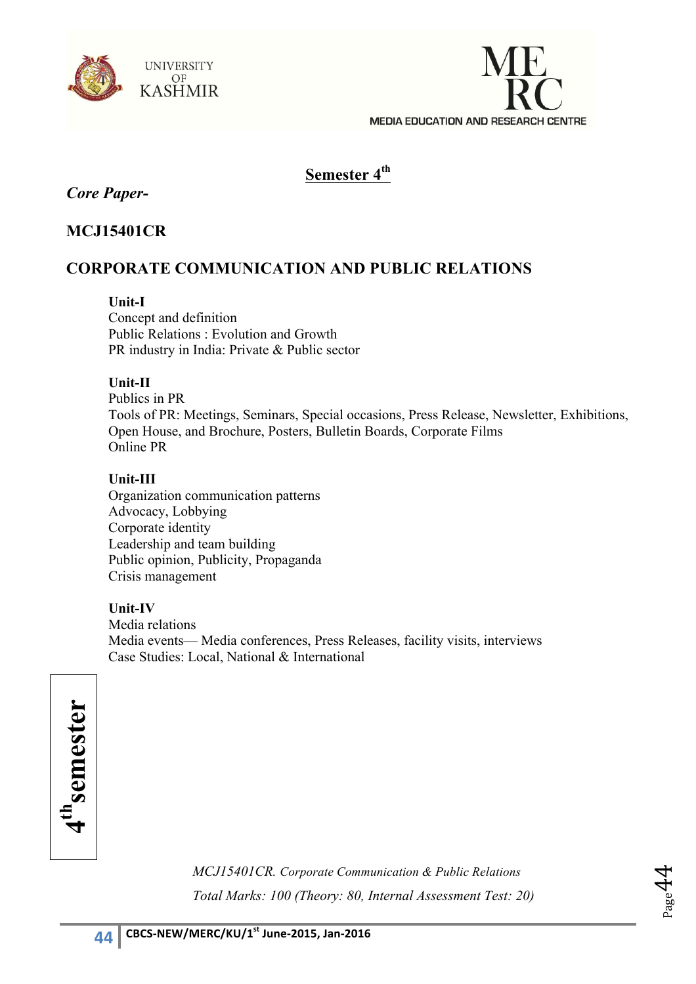



## **Semester 4th**

## *Core Paper-*

## **MCJ15401CR**

## **CORPORATE COMMUNICATION AND PUBLIC RELATIONS**

## **Unit-I**

Concept and definition Public Relations : Evolution and Growth PR industry in India: Private & Public sector

#### **Unit-II**

Publics in PR Tools of PR: Meetings, Seminars, Special occasions, Press Release, Newsletter, Exhibitions, Open House, and Brochure, Posters, Bulletin Boards, Corporate Films Online PR

## **Unit-III**

Organization communication patterns Advocacy, Lobbying Corporate identity Leadership and team building Public opinion, Publicity, Propaganda Crisis management

## **Unit-IV**

Media relations Media events— Media conferences, Press Releases, facility visits, interviews Case Studies: Local, National & International

| ar<br>G                |
|------------------------|
| ٠                      |
| a<br>A<br>ς<br>ì       |
|                        |
| 든                      |
|                        |
| $\bar{\bm{\varsigma}}$ |
| Ō                      |
| Ξ<br>$\ddot{}$         |
| r                      |
|                        |
|                        |

*MCJ15401CR. Corporate Communication & Public Relations Total Marks: 100 (Theory: 80, Internal Assessment Test: 20)* 

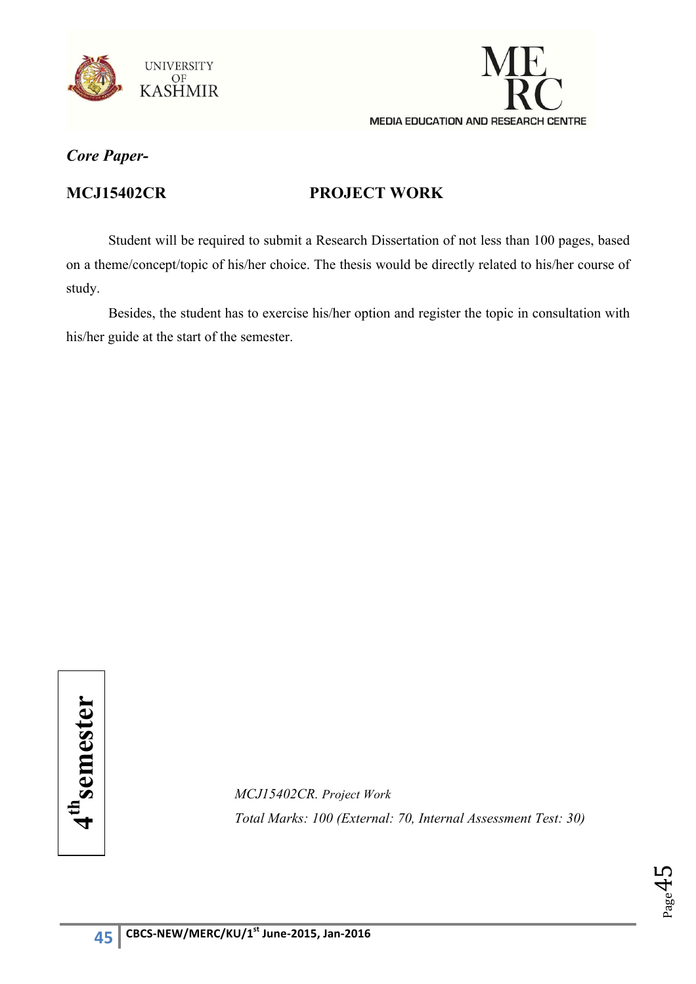



## **MCJ15402CR PROJECT WORK**

Student will be required to submit a Research Dissertation of not less than 100 pages, based on a theme/concept/topic of his/her choice. The thesis would be directly related to his/her course of study.

Besides, the student has to exercise his/her option and register the topic in consultation with his/her guide at the start of the semester.

*MCJ15402CR. Project Work* **Total Marks: 100 (External: 70, Internal Assessment Test: 30)**<br> **4thsemester Propert Work**<br> **4thsemester Test: 30)**<br> **4thsemester Propert Work**<br> **4thsemester** Test: 30)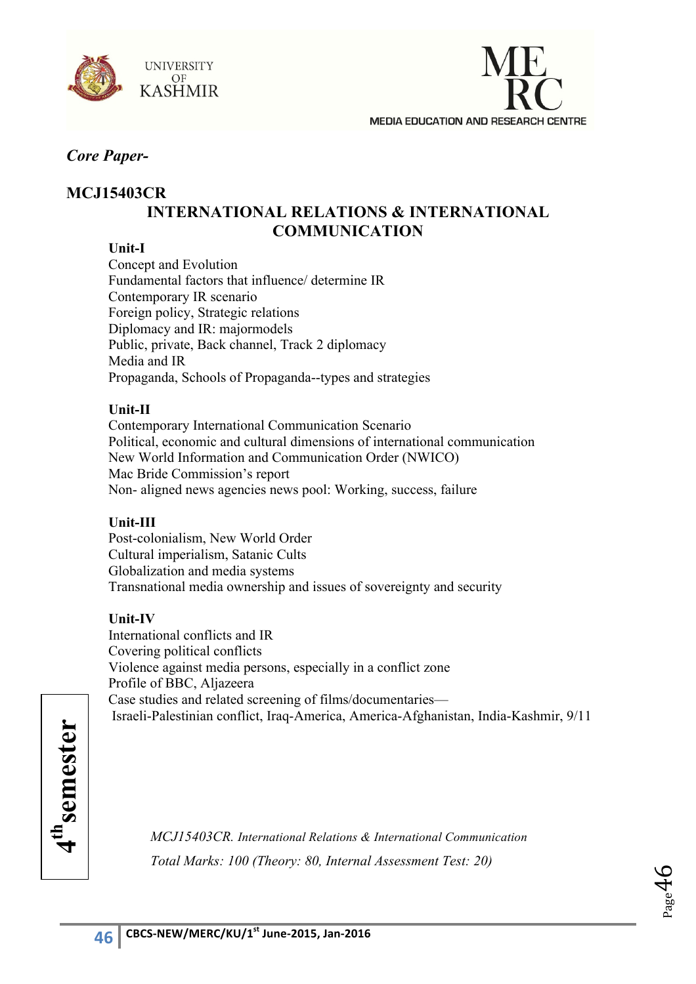



## **MCJ15403CR INTERNATIONAL RELATIONS & INTERNATIONAL COMMUNICATION**

## **Unit-I**

Concept and Evolution Fundamental factors that influence/ determine IR Contemporary IR scenario Foreign policy, Strategic relations Diplomacy and IR: majormodels Public, private, Back channel, Track 2 diplomacy Media and IR Propaganda, Schools of Propaganda--types and strategies

#### **Unit-II**

Contemporary International Communication Scenario Political, economic and cultural dimensions of international communication New World Information and Communication Order (NWICO) Mac Bride Commission's report Non- aligned news agencies news pool: Working, success, failure

#### **Unit-III**

Post-colonialism, New World Order Cultural imperialism, Satanic Cults Globalization and media systems Transnational media ownership and issues of sovereignty and security

#### **Unit-IV**

International conflicts and IR Covering political conflicts Violence against media persons, especially in a conflict zone Profile of BBC, Aljazeera Case studies and related screening of films/documentaries— Israeli-Palestinian conflict, Iraq-America, America-Afghanistan, India-Kashmir, 9/11

*MCJ15403CR. International Relations & International Communication Total Marks: 100 (Theory: 80, Internal Assessment Test: 20)* 

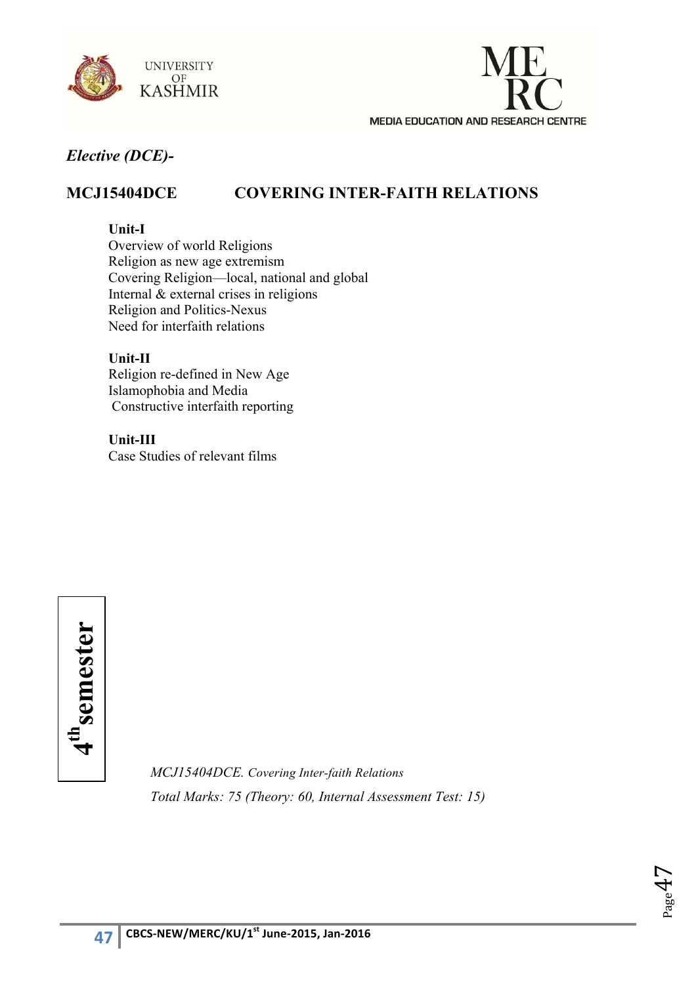



## **MCJ15404DCE COVERING INTER-FAITH RELATIONS**

#### **Unit-I**

Overview of world Religions Religion as new age extremism Covering Religion—local, national and global Internal & external crises in religions Religion and Politics-Nexus Need for interfaith relations

#### **Unit-II**

Religion re-defined in New Age Islamophobia and Media Constructive interfaith reporting

**Unit-III** Case Studies of relevant films



*MCJ15404DCE. Covering Inter-faith Relations Total Marks: 75 (Theory: 60, Internal Assessment Test: 15)*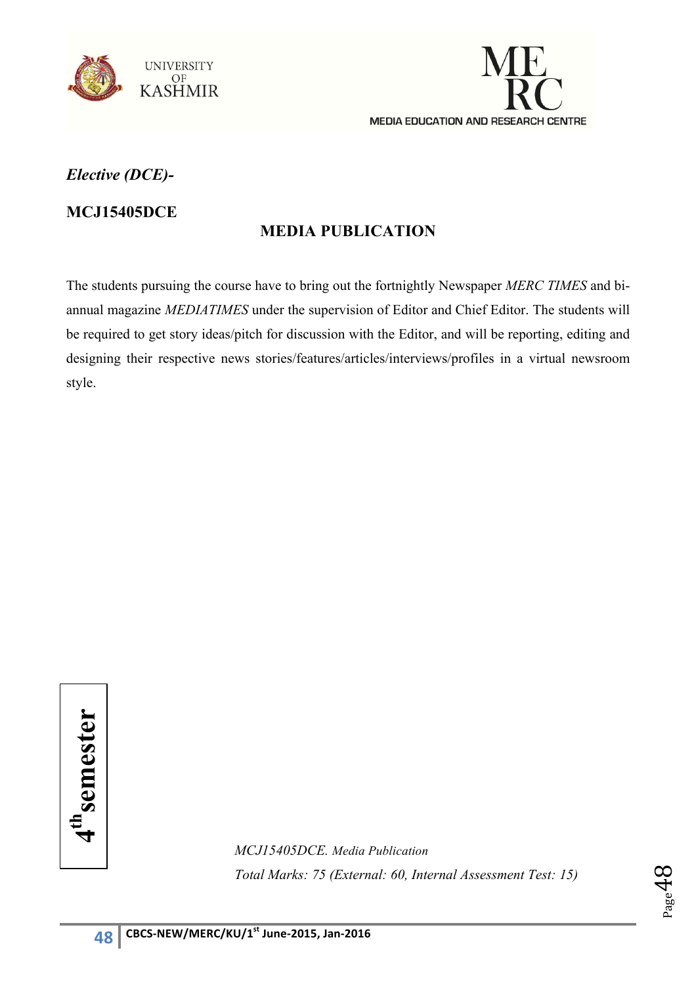



## **MCJ15405DCE**

## **MEDIA PUBLICATION**

The students pursuing the course have to bring out the fortnightly Newspaper *MERC TIMES* and biannual magazine *MEDIATIMES* under the supervision of Editor and Chief Editor. The students will be required to get story ideas/pitch for discussion with the Editor, and will be reporting, editing and designing their respective news stories/features/articles/interviews/profiles in a virtual newsroom style.

4<sup>th</sup>semester **4thsemester**

*MCJ15405DCE. Media Publication Total Marks: 75 (External: 60, Internal Assessment Test: 15)* 

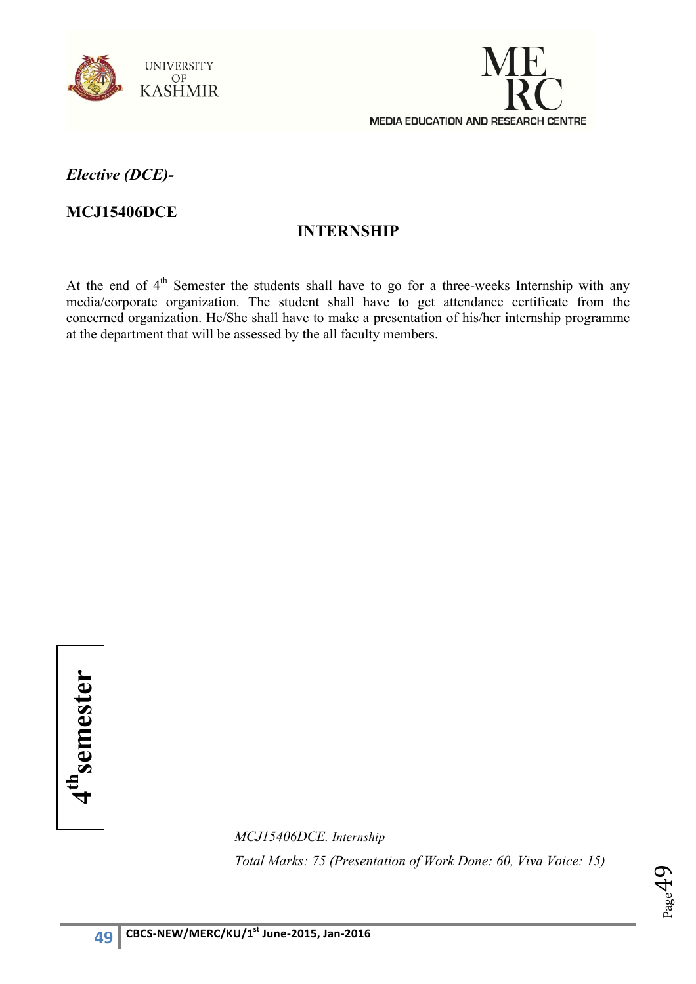



**MCJ15406DCE**

## **INTERNSHIP**

At the end of 4<sup>th</sup> Semester the students shall have to go for a three-weeks Internship with any media/corporate organization. The student shall have to get attendance certificate from the concerned organization. He/She shall have to make a presentation of his/her internship programme at the department that will be assessed by the all faculty members.

4<sup>th</sup>semester **4thsemester**

> *MCJ15406DCE. Internship Total Marks: 75 (Presentation of Work Done: 60, Viva Voice: 15)*

$$
\Theta^{\rm{bag}}_{\rm{Page}}
$$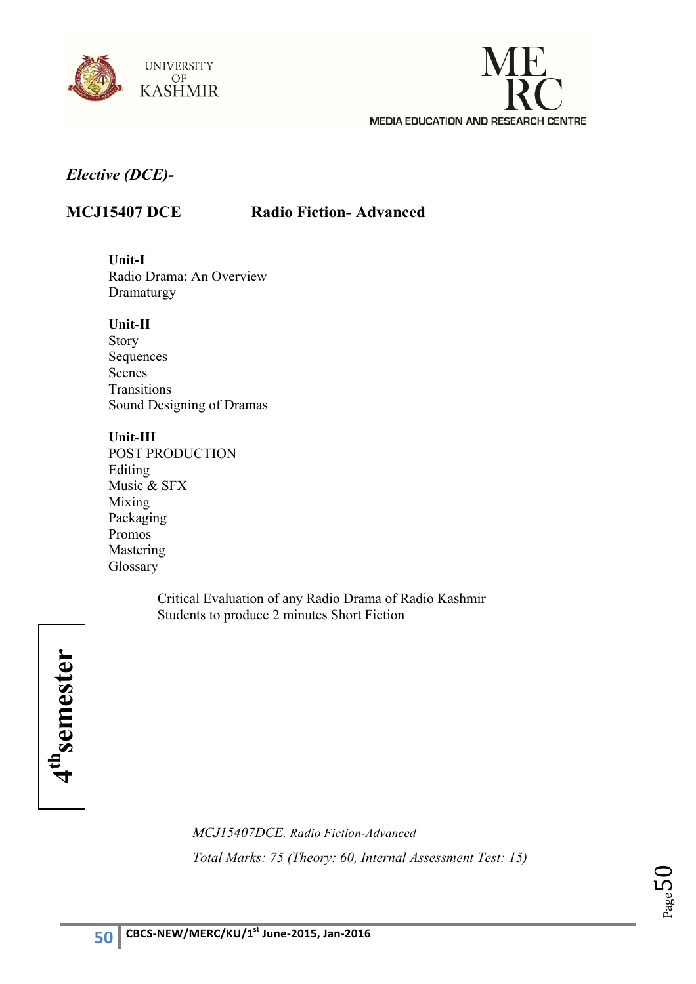



## **MCJ15407 DCE Radio Fiction- Advanced**

**Unit-I**  Radio Drama: An Overview Dramaturgy

#### **Unit-II**

Story Sequences Scenes Transitions Sound Designing of Dramas

#### **Unit-III**

POST PRODUCTION Editing Music & SFX Mixing Packaging Promos Mastering Glossary

> Critical Evaluation of any Radio Drama of Radio Kashmir Students to produce 2 minutes Short Fiction



*MCJ15407DCE. Radio Fiction-Advanced Total Marks: 75 (Theory: 60, Internal Assessment Test: 15)* 

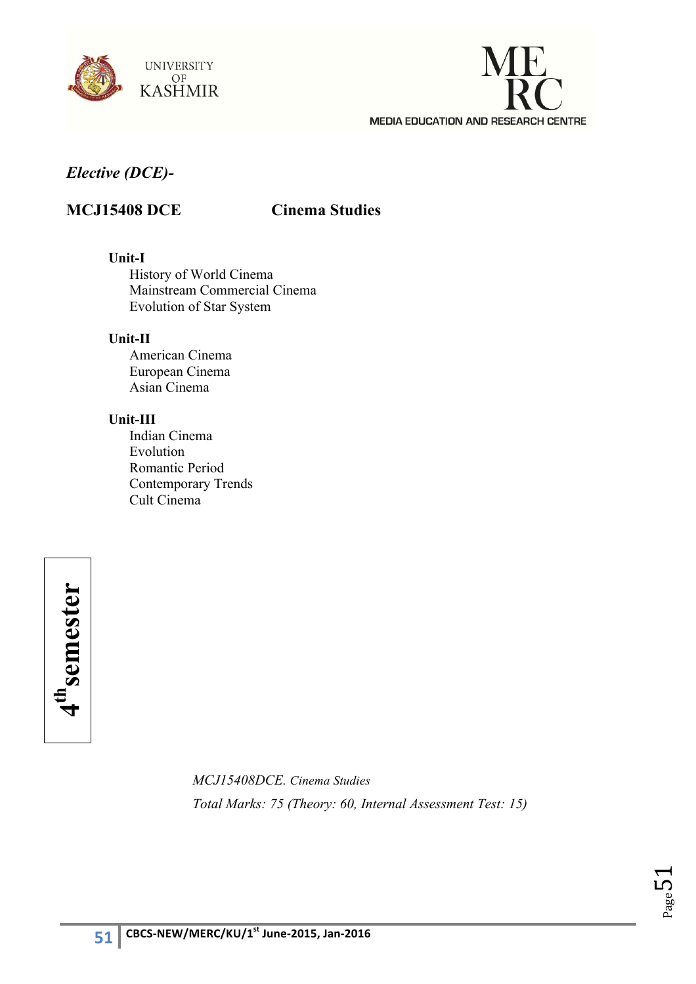



## **MCJ15408 DCE Cinema Studies**

#### **Unit-I**

History of World Cinema Mainstream Commercial Cinema Evolution of Star System

#### **Unit-II**

American Cinema European Cinema Asian Cinema

#### **Unit-III**

Indian Cinema Evolution Romantic Period Contemporary Trends Cult Cinema

4<sup>th</sup>semester **4thsemester**

> *MCJ15408DCE. Cinema Studies Total Marks: 75 (Theory: 60, Internal Assessment Test: 15)*

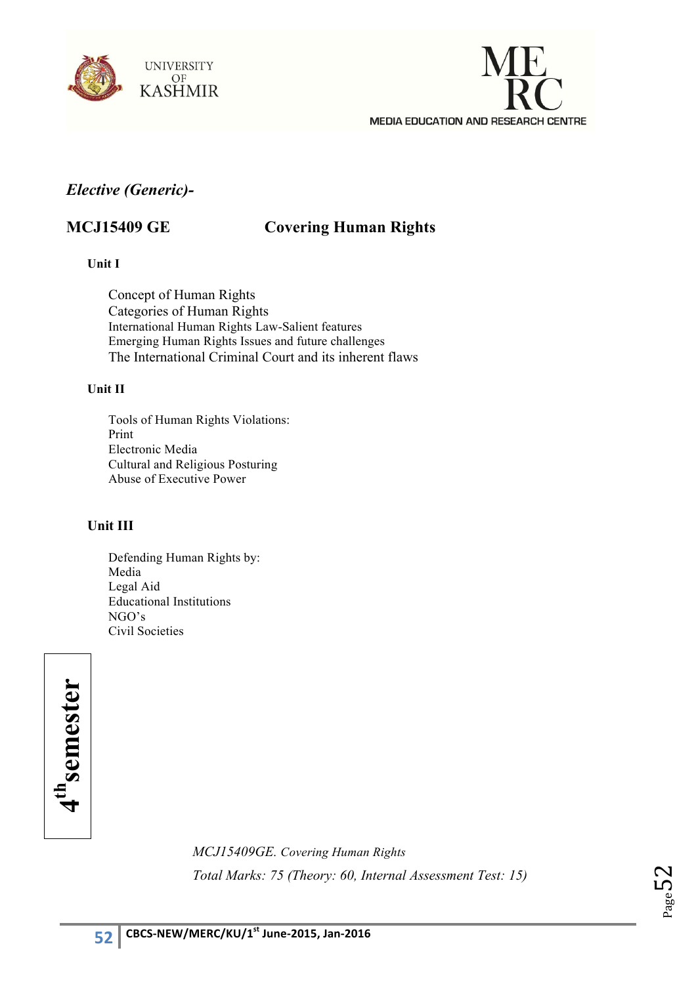



## *Elective (Generic)-*

## **MCJ15409 GE Covering Human Rights**

**Unit I**

Concept of Human Rights Categories of Human Rights International Human Rights Law-Salient features Emerging Human Rights Issues and future challenges The International Criminal Court and its inherent flaws

#### **Unit II**

Tools of Human Rights Violations: Print Electronic Media Cultural and Religious Posturing Abuse of Executive Power

## **Unit III**

Defending Human Rights by: Media Legal Aid Educational Institutions NGO's Civil Societies

4<sup>th</sup>semester **4thsemester**

> *MCJ15409GE. Covering Human Rights Total Marks: 75 (Theory: 60, Internal Assessment Test: 15)*

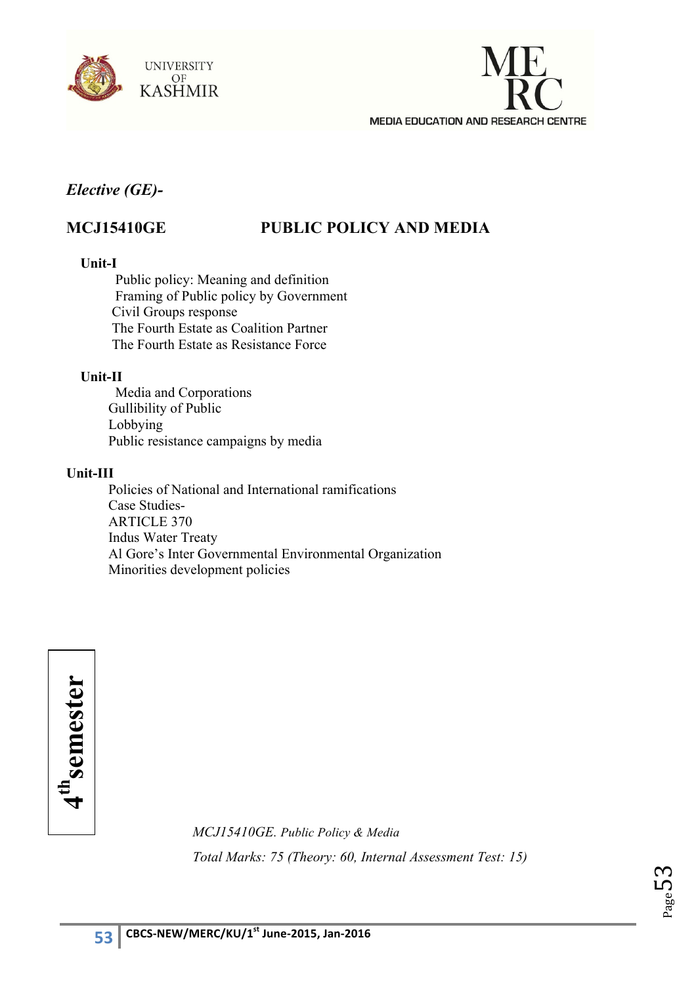



## *Elective (GE)-*

## **MCJ15410GE PUBLIC POLICY AND MEDIA**

#### **Unit-I**

Public policy: Meaning and definition Framing of Public policy by Government Civil Groups response The Fourth Estate as Coalition Partner The Fourth Estate as Resistance Force

#### **Unit-II**

Media and Corporations Gullibility of Public Lobbying Public resistance campaigns by media

#### **Unit-III**

Policies of National and International ramifications Case Studies-ARTICLE 370 Indus Water Treaty Al Gore's Inter Governmental Environmental Organization Minorities development policies

4" semester **4thsemester**

*MCJ15410GE. Public Policy & Media Total Marks: 75 (Theory: 60, Internal Assessment Test: 15)* 

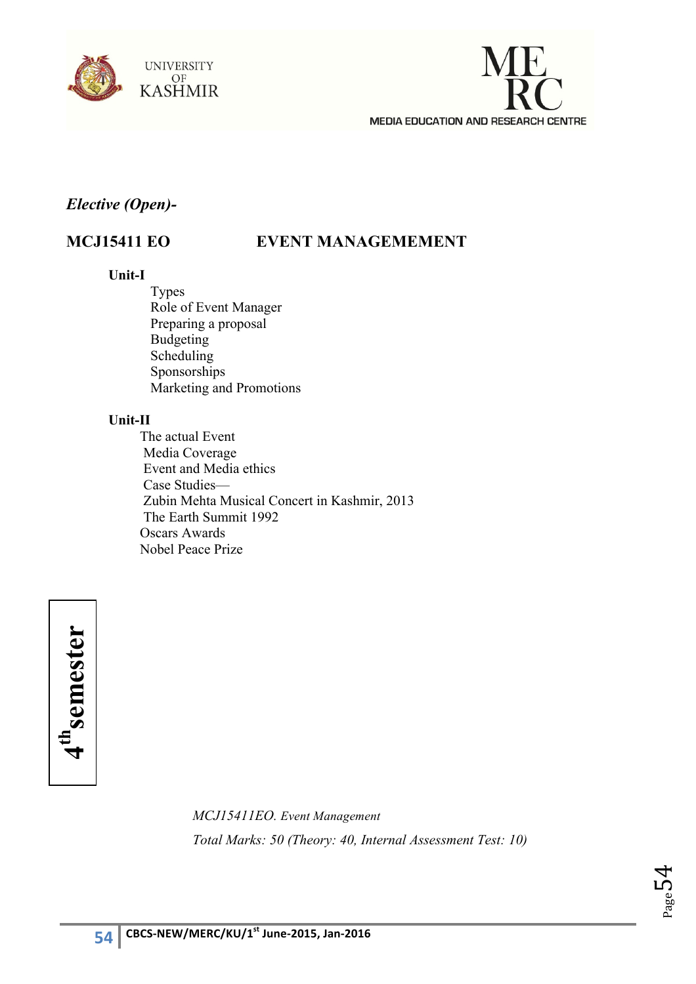



## *Elective (Open)-*

## **MCJ15411 EO EVENT MANAGEMEMENT**

#### **Unit-I**

Types Role of Event Manager Preparing a proposal Budgeting Scheduling Sponsorships Marketing and Promotions

## **Unit-II**

 The actual Event Media Coverage Event and Media ethics Case Studies— Zubin Mehta Musical Concert in Kashmir, 2013 The Earth Summit 1992 Oscars Awards Nobel Peace Prize



*MCJ15411EO. Event Management Total Marks: 50 (Theory: 40, Internal Assessment Test: 10)*